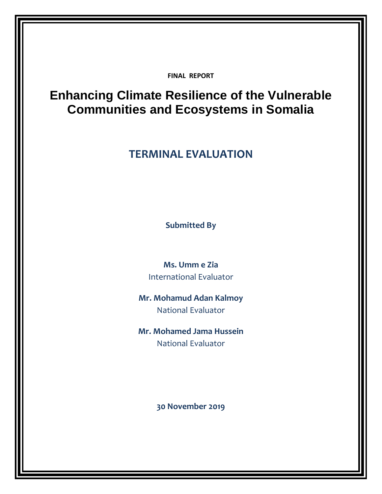**FINAL REPORT**

## **Enhancing Climate Resilience of the Vulnerable Communities and Ecosystems in Somalia**

## **TERMINAL EVALUATION**

**Submitted By**

**Ms. Umm e Zia** International Evaluator

**Mr. Mohamud Adan Kalmoy** National Evaluator

**Mr. Mohamed Jama Hussein** National Evaluator

**30 November 2019**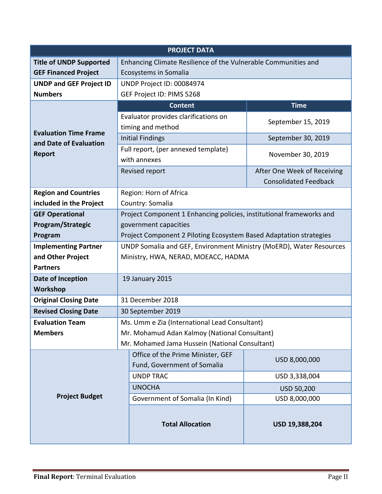| <b>PROJECT DATA</b>                            |                                                                      |                              |  |
|------------------------------------------------|----------------------------------------------------------------------|------------------------------|--|
| <b>Title of UNDP Supported</b>                 | Enhancing Climate Resilience of the Vulnerable Communities and       |                              |  |
| <b>GEF Financed Project</b>                    | Ecosystems in Somalia                                                |                              |  |
| <b>UNDP and GEF Project ID</b>                 | UNDP Project ID: 00084974                                            |                              |  |
| <b>Numbers</b>                                 | GEF Project ID: PIMS 5268                                            |                              |  |
|                                                | <b>Content</b>                                                       | <b>Time</b>                  |  |
|                                                | Evaluator provides clarifications on                                 | September 15, 2019           |  |
| <b>Evaluation Time Frame</b>                   | timing and method                                                    |                              |  |
| and Date of Evaluation                         | <b>Initial Findings</b>                                              | September 30, 2019           |  |
| <b>Report</b>                                  | Full report, (per annexed template)                                  |                              |  |
|                                                | with annexes                                                         | November 30, 2019            |  |
|                                                | Revised report                                                       | After One Week of Receiving  |  |
|                                                |                                                                      | <b>Consolidated Feedback</b> |  |
| <b>Region and Countries</b>                    | Region: Horn of Africa                                               |                              |  |
| included in the Project                        | Country: Somalia                                                     |                              |  |
| <b>GEF Operational</b>                         | Project Component 1 Enhancing policies, institutional frameworks and |                              |  |
| Program/Strategic                              | government capacities                                                |                              |  |
| Program                                        | Project Component 2 Piloting Ecosystem Based Adaptation strategies   |                              |  |
| <b>Implementing Partner</b>                    | UNDP Somalia and GEF, Environment Ministry (MoERD), Water Resources  |                              |  |
| and Other Project                              | Ministry, HWA, NERAD, MOEACC, HADMA                                  |                              |  |
| <b>Partners</b>                                |                                                                      |                              |  |
| Date of Inception                              | 19 January 2015                                                      |                              |  |
| Workshop                                       |                                                                      |                              |  |
| <b>Original Closing Date</b>                   | 31 December 2018                                                     |                              |  |
| <b>Revised Closing Date</b>                    | 30 September 2019                                                    |                              |  |
| <b>Evaluation Team</b>                         | Ms. Umm e Zia (International Lead Consultant)                        |                              |  |
| <b>Members</b>                                 | Mr. Mohamud Adan Kalmoy (National Consultant)                        |                              |  |
| Mr. Mohamed Jama Hussein (National Consultant) |                                                                      |                              |  |
|                                                | Office of the Prime Minister, GEF                                    | USD 8,000,000                |  |
|                                                | Fund, Government of Somalia                                          |                              |  |
|                                                | <b>UNDP TRAC</b>                                                     | USD 3,338,004                |  |
|                                                | <b>UNOCHA</b>                                                        | USD 50,200                   |  |
| <b>Project Budget</b>                          | Government of Somalia (In Kind)                                      | USD 8,000,000                |  |
|                                                | <b>Total Allocation</b>                                              | USD 19,388,204               |  |
|                                                |                                                                      |                              |  |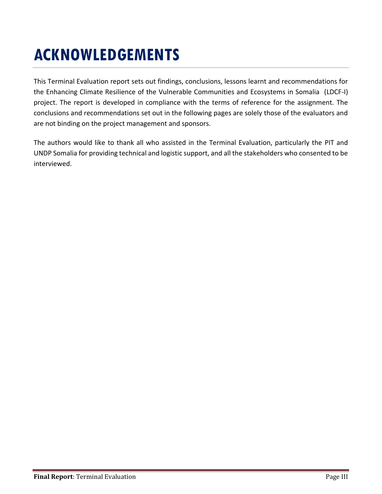## **ACKNOWLEDGEMENTS**

This Terminal Evaluation report sets out findings, conclusions, lessons learnt and recommendations for the Enhancing Climate Resilience of the Vulnerable Communities and Ecosystems in Somalia (LDCF-I) project. The report is developed in compliance with the terms of reference for the assignment. The conclusions and recommendations set out in the following pages are solely those of the evaluators and are not binding on the project management and sponsors.

The authors would like to thank all who assisted in the Terminal Evaluation, particularly the PIT and UNDP Somalia for providing technical and logistic support, and all the stakeholders who consented to be interviewed.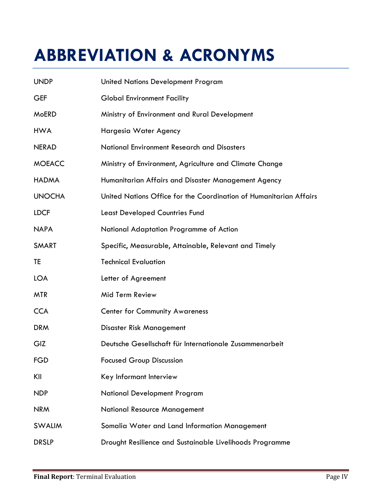# **ABBREVIATION & ACRONYMS**

| <b>UNDP</b>   | <b>United Nations Development Program</b>                          |  |  |
|---------------|--------------------------------------------------------------------|--|--|
| <b>GEF</b>    | <b>Global Environment Facility</b>                                 |  |  |
| <b>MoERD</b>  | Ministry of Environment and Rural Development                      |  |  |
| <b>HWA</b>    | Hargesia Water Agency                                              |  |  |
| <b>NERAD</b>  | National Environment Research and Disasters                        |  |  |
| <b>MOEACC</b> | Ministry of Environment, Agriculture and Climate Change            |  |  |
| <b>HADMA</b>  | Humanitarian Affairs and Disaster Management Agency                |  |  |
| <b>UNOCHA</b> | United Nations Office for the Coordination of Humanitarian Affairs |  |  |
| <b>LDCF</b>   | <b>Least Developed Countries Fund</b>                              |  |  |
| <b>NAPA</b>   | National Adaptation Programme of Action                            |  |  |
| <b>SMART</b>  | Specific, Measurable, Attainable, Relevant and Timely              |  |  |
| TE            | <b>Technical Evaluation</b>                                        |  |  |
| <b>LOA</b>    | Letter of Agreement                                                |  |  |
| <b>MTR</b>    | Mid Term Review                                                    |  |  |
| <b>CCA</b>    | <b>Center for Community Awareness</b>                              |  |  |
| <b>DRM</b>    | Disaster Risk Management                                           |  |  |
| GIZ           | Deutsche Gesellschaft für Internationale Zusammenarbeit            |  |  |
| FGD           | <b>Focused Group Discussion</b>                                    |  |  |
| KII           | Key Informant Interview                                            |  |  |
| <b>NDP</b>    | <b>National Development Program</b>                                |  |  |
| <b>NRM</b>    | <b>National Resource Management</b>                                |  |  |
| <b>SWALIM</b> | Somalia Water and Land Information Management                      |  |  |
| <b>DRSLP</b>  | Drought Resilience and Sustainable Livelihoods Programme           |  |  |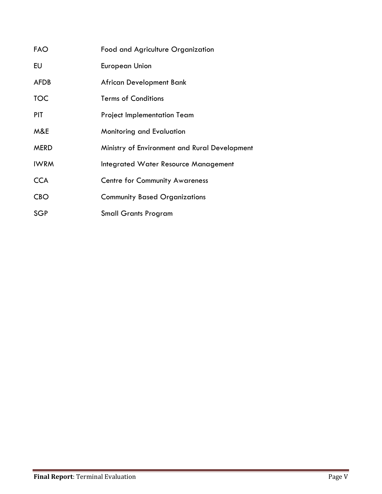| <b>FAO</b>  | Food and Agriculture Organization             |
|-------------|-----------------------------------------------|
| EU          | <b>European Union</b>                         |
| <b>AFDB</b> | African Development Bank                      |
| <b>TOC</b>  | <b>Terms of Conditions</b>                    |
| <b>PIT</b>  | <b>Project Implementation Team</b>            |
| M&E         | Monitoring and Evaluation                     |
| <b>MERD</b> | Ministry of Environment and Rural Development |
| <b>IWRM</b> | Integrated Water Resource Management          |
| <b>CCA</b>  | <b>Centre for Community Awareness</b>         |
| <b>CBO</b>  | <b>Community Based Organizations</b>          |
| <b>SGP</b>  | <b>Small Grants Program</b>                   |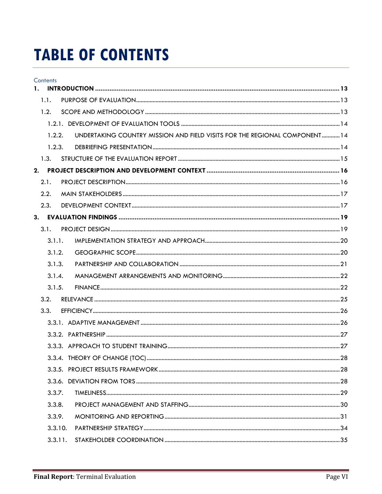## **TABLE OF CONTENTS**

|    | <b>Contents</b> |         |                                                                           |  |
|----|-----------------|---------|---------------------------------------------------------------------------|--|
| 1. |                 |         |                                                                           |  |
|    | 1.1.            |         |                                                                           |  |
|    | 1.2.            |         |                                                                           |  |
|    |                 |         |                                                                           |  |
|    |                 | 1.2.2.  | UNDERTAKING COUNTRY MISSION AND FIELD VISITS FOR THE REGIONAL COMPONENT14 |  |
|    |                 | 1.2.3.  |                                                                           |  |
|    | 1.3.            |         |                                                                           |  |
| 2. |                 |         |                                                                           |  |
|    | 2.1.            |         |                                                                           |  |
|    | 2.2.            |         |                                                                           |  |
|    | 2.3.            |         |                                                                           |  |
|    |                 |         |                                                                           |  |
|    | 3.1.            |         |                                                                           |  |
|    |                 | 3.1.1.  |                                                                           |  |
|    |                 | 3.1.2.  |                                                                           |  |
|    |                 | 3.1.3.  |                                                                           |  |
|    |                 | 3.1.4.  |                                                                           |  |
|    |                 | 3.1.5.  |                                                                           |  |
|    | 3.2.            |         |                                                                           |  |
|    | 3.3.            |         |                                                                           |  |
|    |                 |         |                                                                           |  |
|    |                 |         |                                                                           |  |
|    |                 |         |                                                                           |  |
|    |                 |         |                                                                           |  |
|    |                 |         |                                                                           |  |
|    |                 |         |                                                                           |  |
|    |                 | 3.3.7.  |                                                                           |  |
|    |                 | 3.3.8.  |                                                                           |  |
|    |                 | 3.3.9.  |                                                                           |  |
|    |                 | 3.3.10. |                                                                           |  |
|    |                 | 3.3.11. |                                                                           |  |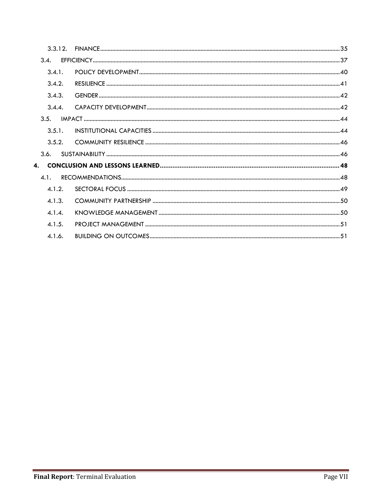| 3.3.12.      |  |
|--------------|--|
| 3.4.         |  |
| 3.4.1.       |  |
| 3.4.2.       |  |
| 3.4.3.       |  |
| 3.4.4.       |  |
| 3.5.         |  |
| 3.5.1.       |  |
| 3.5.2.       |  |
| 3.6.         |  |
| $\mathbf{4}$ |  |
| 4.1.         |  |
| 4.1.2.       |  |
| 4.1.3.       |  |
| 4.1.4.       |  |
| 4.1.5.       |  |
| 4.1.6.       |  |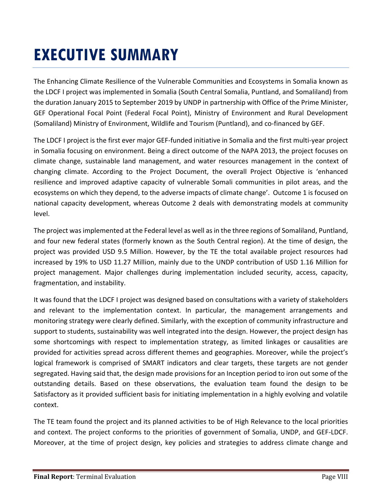## **EXECUTIVE SUMMARY**

The Enhancing Climate Resilience of the Vulnerable Communities and Ecosystems in Somalia known as the LDCF I project was implemented in Somalia (South Central Somalia, Puntland, and Somaliland) from the duration January 2015 to September 2019 by UNDP in partnership with Office of the Prime Minister, GEF Operational Focal Point (Federal Focal Point), Ministry of Environment and Rural Development (Somaliland) Ministry of Environment, Wildlife and Tourism (Puntland), and co-financed by GEF.

The LDCF I project is the first ever major GEF-funded initiative in Somalia and the first multi-year project in Somalia focusing on environment. Being a direct outcome of the NAPA 2013, the project focuses on climate change, sustainable land management, and water resources management in the context of changing climate. According to the Project Document, the overall Project Objective is 'enhanced resilience and improved adaptive capacity of vulnerable Somali communities in pilot areas, and the ecosystems on which they depend, to the adverse impacts of climate change'. Outcome 1 is focused on national capacity development, whereas Outcome 2 deals with demonstrating models at community level.

The project was implemented at the Federal level as well as in the three regions of Somaliland, Puntland, and four new federal states (formerly known as the South Central region). At the time of design, the project was provided USD 9.5 Million. However, by the TE the total available project resources had increased by 19% to USD 11.27 Million, mainly due to the UNDP contribution of USD 1.16 Million for project management. Major challenges during implementation included security, access, capacity, fragmentation, and instability.

It was found that the LDCF I project was designed based on consultations with a variety of stakeholders and relevant to the implementation context. In particular, the management arrangements and monitoring strategy were clearly defined. Similarly, with the exception of community infrastructure and support to students, sustainability was well integrated into the design. However, the project design has some shortcomings with respect to implementation strategy, as limited linkages or causalities are provided for activities spread across different themes and geographies. Moreover, while the project's logical framework is comprised of SMART indicators and clear targets, these targets are not gender segregated. Having said that, the design made provisions for an Inception period to iron out some of the outstanding details. Based on these observations, the evaluation team found the design to be Satisfactory as it provided sufficient basis for initiating implementation in a highly evolving and volatile context.

The TE team found the project and its planned activities to be of High Relevance to the local priorities and context. The project conforms to the priorities of government of Somalia, UNDP, and GEF-LDCF. Moreover, at the time of project design, key policies and strategies to address climate change and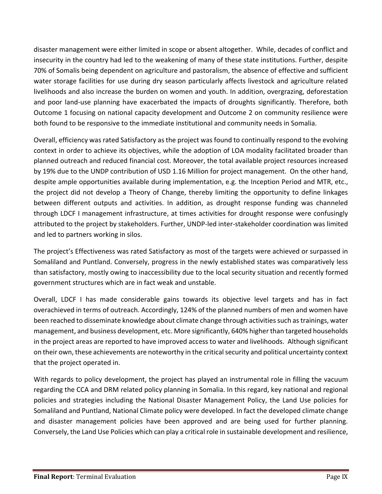disaster management were either limited in scope or absent altogether. While, decades of conflict and insecurity in the country had led to the weakening of many of these state institutions. Further, despite 70% of Somalis being dependent on agriculture and pastoralism, the absence of effective and sufficient water storage facilities for use during dry season particularly affects livestock and agriculture related livelihoods and also increase the burden on women and youth. In addition, overgrazing, deforestation and poor land-use planning have exacerbated the impacts of droughts significantly. Therefore, both Outcome 1 focusing on national capacity development and Outcome 2 on community resilience were both found to be responsive to the immediate institutional and community needs in Somalia.

Overall, efficiency was rated Satisfactory as the project was found to continually respond to the evolving context in order to achieve its objectives, while the adoption of LOA modality facilitated broader than planned outreach and reduced financial cost. Moreover, the total available project resources increased by 19% due to the UNDP contribution of USD 1.16 Million for project management. On the other hand, despite ample opportunities available during implementation, e.g. the Inception Period and MTR, etc., the project did not develop a Theory of Change, thereby limiting the opportunity to define linkages between different outputs and activities. In addition, as drought response funding was channeled through LDCF I management infrastructure, at times activities for drought response were confusingly attributed to the project by stakeholders. Further, UNDP-led inter-stakeholder coordination was limited and led to partners working in silos.

The project's Effectiveness was rated Satisfactory as most of the targets were achieved or surpassed in Somaliland and Puntland. Conversely, progress in the newly established states was comparatively less than satisfactory, mostly owing to inaccessibility due to the local security situation and recently formed government structures which are in fact weak and unstable.

Overall, LDCF I has made considerable gains towards its objective level targets and has in fact overachieved in terms of outreach. Accordingly, 124% of the planned numbers of men and women have been reached to disseminate knowledge about climate change through activities such as trainings, water management, and business development, etc. More significantly, 640% higher than targeted households in the project areas are reported to have improved access to water and livelihoods. Although significant on their own, these achievements are noteworthy in the critical security and political uncertainty context that the project operated in.

With regards to policy development, the project has played an instrumental role in filling the vacuum regarding the CCA and DRM related policy planning in Somalia. In this regard, key national and regional policies and strategies including the National Disaster Management Policy, the Land Use policies for Somaliland and Puntland, National Climate policy were developed. In fact the developed climate change and disaster management policies have been approved and are being used for further planning. Conversely, the Land Use Policies which can play a critical role in sustainable development and resilience,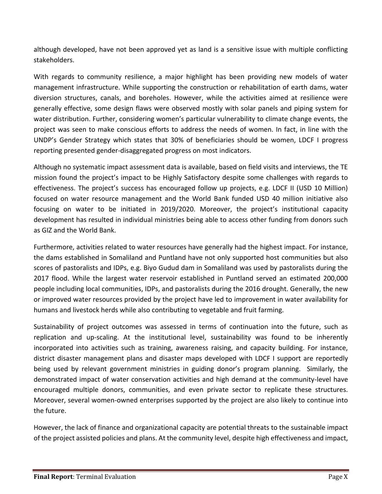although developed, have not been approved yet as land is a sensitive issue with multiple conflicting stakeholders.

With regards to community resilience, a major highlight has been providing new models of water management infrastructure. While supporting the construction or rehabilitation of earth dams, water diversion structures, canals, and boreholes. However, while the activities aimed at resilience were generally effective, some design flaws were observed mostly with solar panels and piping system for water distribution. Further, considering women's particular vulnerability to climate change events, the project was seen to make conscious efforts to address the needs of women. In fact, in line with the UNDP's Gender Strategy which states that 30% of beneficiaries should be women, LDCF I progress reporting presented gender-disaggregated progress on most indicators.

Although no systematic impact assessment data is available, based on field visits and interviews, the TE mission found the project's impact to be Highly Satisfactory despite some challenges with regards to effectiveness. The project's success has encouraged follow up projects, e.g. LDCF II (USD 10 Million) focused on water resource management and the World Bank funded USD 40 million initiative also focusing on water to be initiated in 2019/2020. Moreover, the project's institutional capacity development has resulted in individual ministries being able to access other funding from donors such as GIZ and the World Bank.

Furthermore, activities related to water resources have generally had the highest impact. For instance, the dams established in Somaliland and Puntland have not only supported host communities but also scores of pastoralists and IDPs, e.g. Biyo Gudud dam in Somaliland was used by pastoralists during the 2017 flood. While the largest water reservoir established in Puntland served an estimated 200,000 people including local communities, IDPs, and pastoralists during the 2016 drought. Generally, the new or improved water resources provided by the project have led to improvement in water availability for humans and livestock herds while also contributing to vegetable and fruit farming.

Sustainability of project outcomes was assessed in terms of continuation into the future, such as replication and up-scaling. At the institutional level, sustainability was found to be inherently incorporated into activities such as training, awareness raising, and capacity building. For instance, district disaster management plans and disaster maps developed with LDCF I support are reportedly being used by relevant government ministries in guiding donor's program planning. Similarly, the demonstrated impact of water conservation activities and high demand at the community-level have encouraged multiple donors, communities, and even private sector to replicate these structures. Moreover, several women-owned enterprises supported by the project are also likely to continue into the future.

However, the lack of finance and organizational capacity are potential threats to the sustainable impact of the project assisted policies and plans. At the community level, despite high effectiveness and impact,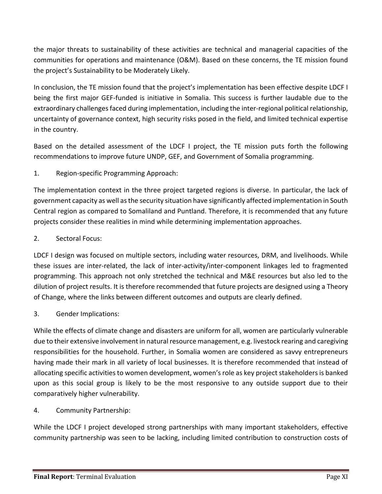the major threats to sustainability of these activities are technical and managerial capacities of the communities for operations and maintenance (O&M). Based on these concerns, the TE mission found the project's Sustainability to be Moderately Likely.

In conclusion, the TE mission found that the project's implementation has been effective despite LDCF I being the first major GEF-funded is initiative in Somalia. This success is further laudable due to the extraordinary challenges faced during implementation, including the inter-regional political relationship, uncertainty of governance context, high security risks posed in the field, and limited technical expertise in the country.

Based on the detailed assessment of the LDCF I project, the TE mission puts forth the following recommendations to improve future UNDP, GEF, and Government of Somalia programming.

#### 1. Region-specific Programming Approach:

The implementation context in the three project targeted regions is diverse. In particular, the lack of government capacity as well as the security situation have significantly affected implementation in South Central region as compared to Somaliland and Puntland. Therefore, it is recommended that any future projects consider these realities in mind while determining implementation approaches.

#### 2. Sectoral Focus:

LDCF I design was focused on multiple sectors, including water resources, DRM, and livelihoods. While these issues are inter-related, the lack of inter-activity/inter-component linkages led to fragmented programming. This approach not only stretched the technical and M&E resources but also led to the dilution of project results. It is therefore recommended that future projects are designed using a Theory of Change, where the links between different outcomes and outputs are clearly defined.

#### 3. Gender Implications:

While the effects of climate change and disasters are uniform for all, women are particularly vulnerable due to their extensive involvement in natural resource management, e.g. livestock rearing and caregiving responsibilities for the household. Further, in Somalia women are considered as savvy entrepreneurs having made their mark in all variety of local businesses. It is therefore recommended that instead of allocating specific activities to women development, women's role as key project stakeholders is banked upon as this social group is likely to be the most responsive to any outside support due to their comparatively higher vulnerability.

#### 4. Community Partnership:

While the LDCF I project developed strong partnerships with many important stakeholders, effective community partnership was seen to be lacking, including limited contribution to construction costs of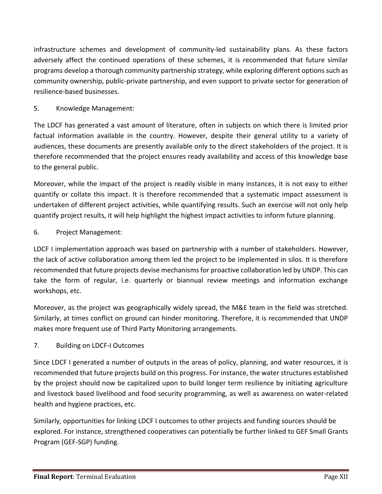infrastructure schemes and development of community-led sustainability plans. As these factors adversely affect the continued operations of these schemes, it is recommended that future similar programs develop a thorough community partnership strategy, while exploring different options such as community ownership, public-private partnership, and even support to private sector for generation of resilience-based businesses.

#### 5. Knowledge Management:

The LDCF has generated a vast amount of literature, often in subjects on which there is limited prior factual information available in the country. However, despite their general utility to a variety of audiences, these documents are presently available only to the direct stakeholders of the project. It is therefore recommended that the project ensures ready availability and access of this knowledge base to the general public.

Moreover, while the impact of the project is readily visible in many instances, it is not easy to either quantify or collate this impact. It is therefore recommended that a systematic impact assessment is undertaken of different project activities, while quantifying results. Such an exercise will not only help quantify project results, it will help highlight the highest impact activities to inform future planning.

#### 6. Project Management:

LDCF I implementation approach was based on partnership with a number of stakeholders. However, the lack of active collaboration among them led the project to be implemented in silos. It is therefore recommended that future projects devise mechanisms for proactive collaboration led by UNDP. This can take the form of regular, i.e. quarterly or biannual review meetings and information exchange workshops, etc.

Moreover, as the project was geographically widely spread, the M&E team in the field was stretched. Similarly, at times conflict on ground can hinder monitoring. Therefore, it is recommended that UNDP makes more frequent use of Third Party Monitoring arrangements.

#### 7. Building on LDCF-I Outcomes

Since LDCF I generated a number of outputs in the areas of policy, planning, and water resources, it is recommended that future projects build on this progress. For instance, the water structures established by the project should now be capitalized upon to build longer term resilience by initiating agriculture and livestock based livelihood and food security programming, as well as awareness on water-related health and hygiene practices, etc.

Similarly, opportunities for linking LDCF I outcomes to other projects and funding sources should be explored. For instance, strengthened cooperatives can potentially be further linked to GEF Small Grants Program (GEF-SGP) funding.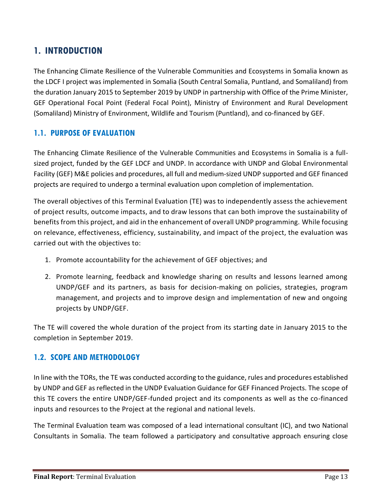## <span id="page-12-0"></span>**1. INTRODUCTION**

The Enhancing Climate Resilience of the Vulnerable Communities and Ecosystems in Somalia known as the LDCF I project was implemented in Somalia (South Central Somalia, Puntland, and Somaliland) from the duration January 2015 to September 2019 by UNDP in partnership with Office of the Prime Minister, GEF Operational Focal Point (Federal Focal Point), Ministry of Environment and Rural Development (Somaliland) Ministry of Environment, Wildlife and Tourism (Puntland), and co-financed by GEF.

#### <span id="page-12-1"></span>**1.1. PURPOSE OF EVALUATION**

The Enhancing Climate Resilience of the Vulnerable Communities and Ecosystems in Somalia is a fullsized project, funded by the GEF LDCF and UNDP. In accordance with UNDP and Global Environmental Facility (GEF) M&E policies and procedures, all full and medium-sized UNDP supported and GEF financed projects are required to undergo a terminal evaluation upon completion of implementation.

The overall objectives of this Terminal Evaluation (TE) was to independently assess the achievement of project results, outcome impacts, and to draw lessons that can both improve the sustainability of benefits from this project, and aid in the enhancement of overall UNDP programming. While focusing on relevance, effectiveness, efficiency, sustainability, and impact of the project, the evaluation was carried out with the objectives to:

- 1. Promote accountability for the achievement of GEF objectives; and
- 2. Promote learning, feedback and knowledge sharing on results and lessons learned among UNDP/GEF and its partners, as basis for decision-making on policies, strategies, program management, and projects and to improve design and implementation of new and ongoing projects by UNDP/GEF.

The TE will covered the whole duration of the project from its starting date in January 2015 to the completion in September 2019.

#### <span id="page-12-2"></span>**1.2. SCOPE AND METHODOLOGY**

In line with the TORs, the TE was conducted according to the guidance, rules and procedures established by UNDP and GEF as reflected in the UNDP Evaluation Guidance for GEF Financed Projects. The scope of this TE covers the entire UNDP/GEF-funded project and its components as well as the co-financed inputs and resources to the Project at the regional and national levels.

The Terminal Evaluation team was composed of a lead international consultant (IC), and two National Consultants in Somalia. The team followed a participatory and consultative approach ensuring close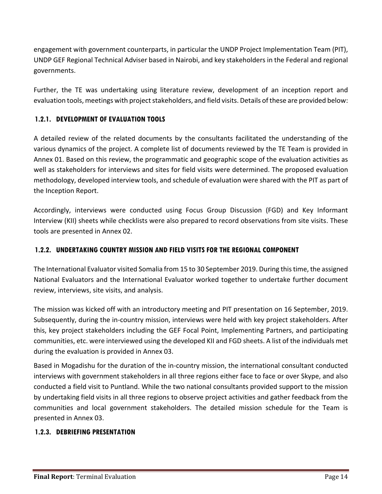engagement with government counterparts, in particular the UNDP Project Implementation Team (PIT), UNDP GEF Regional Technical Adviser based in Nairobi, and key stakeholders in the Federal and regional governments.

Further, the TE was undertaking using literature review, development of an inception report and evaluation tools, meetings with project stakeholders, and field visits. Details of these are provided below:

#### <span id="page-13-0"></span>**1.2.1. DEVELOPMENT OF EVALUATION TOOLS**

A detailed review of the related documents by the consultants facilitated the understanding of the various dynamics of the project. A complete list of documents reviewed by the TE Team is provided in Annex 01. Based on this review, the programmatic and geographic scope of the evaluation activities as well as stakeholders for interviews and sites for field visits were determined. The proposed evaluation methodology, developed interview tools, and schedule of evaluation were shared with the PIT as part of the Inception Report.

Accordingly, interviews were conducted using Focus Group Discussion (FGD) and Key Informant Interview (KII) sheets while checklists were also prepared to record observations from site visits. These tools are presented in Annex 02.

#### <span id="page-13-1"></span>**1.2.2. UNDERTAKING COUNTRY MISSION AND FIELD VISITS FOR THE REGIONAL COMPONENT**

The International Evaluator visited Somalia from 15 to 30 September 2019. During this time, the assigned National Evaluators and the International Evaluator worked together to undertake further document review, interviews, site visits, and analysis.

The mission was kicked off with an introductory meeting and PIT presentation on 16 September, 2019. Subsequently, during the in-country mission, interviews were held with key project stakeholders. After this, key project stakeholders including the GEF Focal Point, Implementing Partners, and participating communities, etc. were interviewed using the developed KII and FGD sheets. A list of the individuals met during the evaluation is provided in Annex 03.

Based in Mogadishu for the duration of the in-country mission, the international consultant conducted interviews with government stakeholders in all three regions either face to face or over Skype, and also conducted a field visit to Puntland. While the two national consultants provided support to the mission by undertaking field visits in all three regions to observe project activities and gather feedback from the communities and local government stakeholders. The detailed mission schedule for the Team is presented in Annex 03.

#### <span id="page-13-2"></span>**1.2.3. DEBRIEFING PRESENTATION**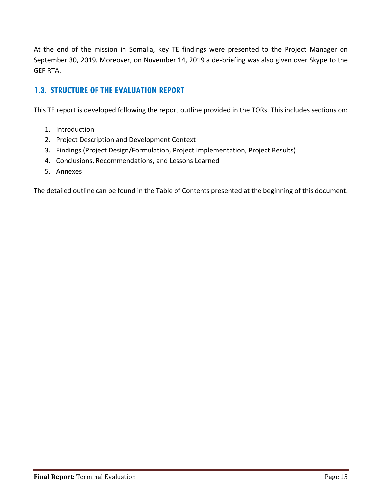At the end of the mission in Somalia, key TE findings were presented to the Project Manager on September 30, 2019. Moreover, on November 14, 2019 a de-briefing was also given over Skype to the GEF RTA.

#### <span id="page-14-0"></span>**1.3. STRUCTURE OF THE EVALUATION REPORT**

This TE report is developed following the report outline provided in the TORs. This includes sections on:

- 1. Introduction
- 2. Project Description and Development Context
- 3. Findings (Project Design/Formulation, Project Implementation, Project Results)
- 4. Conclusions, Recommendations, and Lessons Learned
- 5. Annexes

The detailed outline can be found in the Table of Contents presented at the beginning of this document.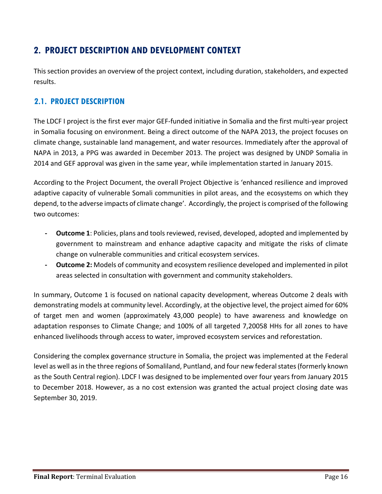## <span id="page-15-0"></span>**2. PROJECT DESCRIPTION AND DEVELOPMENT CONTEXT**

This section provides an overview of the project context, including duration, stakeholders, and expected results.

#### <span id="page-15-1"></span>**2.1. PROJECT DESCRIPTION**

The LDCF I project is the first ever major GEF-funded initiative in Somalia and the first multi-year project in Somalia focusing on environment. Being a direct outcome of the NAPA 2013, the project focuses on climate change, sustainable land management, and water resources. Immediately after the approval of NAPA in 2013, a PPG was awarded in December 2013. The project was designed by UNDP Somalia in 2014 and GEF approval was given in the same year, while implementation started in January 2015.

According to the Project Document, the overall Project Objective is 'enhanced resilience and improved adaptive capacity of vulnerable Somali communities in pilot areas, and the ecosystems on which they depend, to the adverse impacts of climate change'. Accordingly, the project is comprised of the following two outcomes:

- **- Outcome 1**: Policies, plans and tools reviewed, revised, developed, adopted and implemented by government to mainstream and enhance adaptive capacity and mitigate the risks of climate change on vulnerable communities and critical ecosystem services.
- **- Outcome 2:** Models of community and ecosystem resilience developed and implemented in pilot areas selected in consultation with government and community stakeholders.

In summary, Outcome 1 is focused on national capacity development, whereas Outcome 2 deals with demonstrating models at community level. Accordingly, at the objective level, the project aimed for 60% of target men and women (approximately 43,000 people) to have awareness and knowledge on adaptation responses to Climate Change; and 100% of all targeted 7,20058 HHs for all zones to have enhanced livelihoods through access to water, improved ecosystem services and reforestation.

Considering the complex governance structure in Somalia, the project was implemented at the Federal level as well as in the three regions of Somaliland, Puntland, and four new federal states (formerly known as the South Central region). LDCF I was designed to be implemented over four years from January 2015 to December 2018. However, as a no cost extension was granted the actual project closing date was September 30, 2019.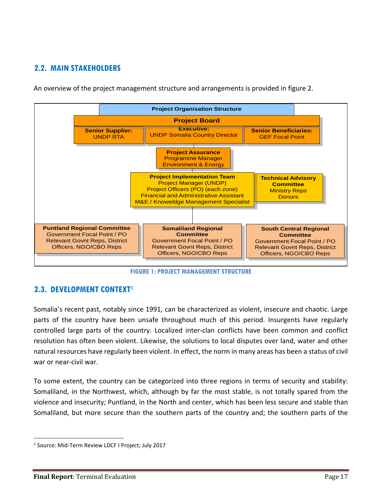### <span id="page-16-0"></span>**2.2. MAIN STAKEHOLDERS**

An overview of the project management structure and arrangements is provided in figure 2.



**FIGURE 1: PROJECT MANAGEMENT STRUCTURE**

### <span id="page-16-1"></span>**2.3. DEVELOPMENT CONTEXT<sup>1</sup>**

Somalia's recent past, notably since 1991, can be characterized as violent, insecure and chaotic. Large parts of the country have been unsafe throughout much of this period. Insurgents have regularly controlled large parts of the country. Localized inter-clan conflicts have been common and conflict resolution has often been violent. Likewise, the solutions to local disputes over land, water and other natural resources have regularly been violent. In effect, the norm in many areas has been a status of civil war or near-civil war.

To some extent, the country can be categorized into three regions in terms of security and stability: Somaliland, in the Northwest, which, although by far the most stable, is not totally spared from the violence and insecurity; Puntland, in the North and center, which has been less secure and stable than Somaliland, but more secure than the southern parts of the country and; the southern parts of the

 $\overline{a}$ 

<sup>&</sup>lt;sup>1</sup> Source: Mid-Term Review LDCF I Project; July 2017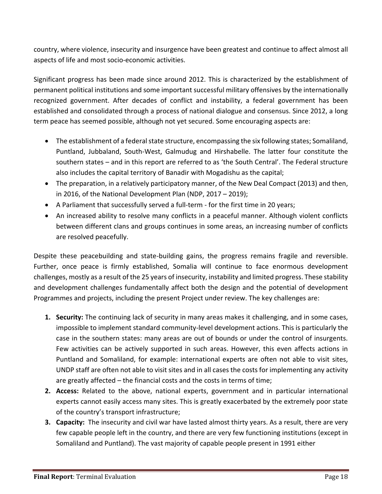country, where violence, insecurity and insurgence have been greatest and continue to affect almost all aspects of life and most socio-economic activities.

Significant progress has been made since around 2012. This is characterized by the establishment of permanent political institutions and some important successful military offensives by the internationally recognized government. After decades of conflict and instability, a federal government has been established and consolidated through a process of national dialogue and consensus. Since 2012, a long term peace has seemed possible, although not yet secured. Some encouraging aspects are:

- The establishment of a federal state structure, encompassing the six following states; Somaliland, Puntland, Jubbaland, South-West, Galmudug and Hirshabelle. The latter four constitute the southern states – and in this report are referred to as 'the South Central'. The Federal structure also includes the capital territory of Banadir with Mogadishu as the capital;
- The preparation, in a relatively participatory manner, of the New Deal Compact (2013) and then, in 2016, of the National Development Plan (NDP, 2017 – 2019);
- A Parliament that successfully served a full-term for the first time in 20 years;
- An increased ability to resolve many conflicts in a peaceful manner. Although violent conflicts between different clans and groups continues in some areas, an increasing number of conflicts are resolved peacefully.

Despite these peacebuilding and state-building gains, the progress remains fragile and reversible. Further, once peace is firmly established, Somalia will continue to face enormous development challenges, mostly as a result of the 25 years of insecurity, instability and limited progress. These stability and development challenges fundamentally affect both the design and the potential of development Programmes and projects, including the present Project under review. The key challenges are:

- **1. Security:** The continuing lack of security in many areas makes it challenging, and in some cases, impossible to implement standard community-level development actions. This is particularly the case in the southern states: many areas are out of bounds or under the control of insurgents. Few activities can be actively supported in such areas. However, this even affects actions in Puntland and Somaliland, for example: international experts are often not able to visit sites, UNDP staff are often not able to visit sites and in all cases the costs for implementing any activity are greatly affected – the financial costs and the costs in terms of time;
- **2. Access:** Related to the above, national experts, government and in particular international experts cannot easily access many sites. This is greatly exacerbated by the extremely poor state of the country's transport infrastructure;
- **3. Capacity:** The insecurity and civil war have lasted almost thirty years. As a result, there are very few capable people left in the country, and there are very few functioning institutions (except in Somaliland and Puntland). The vast majority of capable people present in 1991 either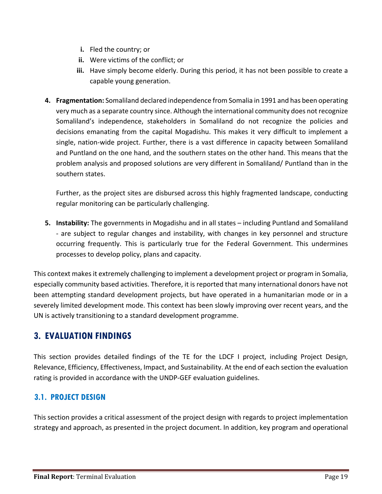- **i.** Fled the country; or
- **ii.** Were victims of the conflict; or
- **iii.** Have simply become elderly. During this period, it has not been possible to create a capable young generation.
- **4. Fragmentation:** Somaliland declared independence from Somalia in 1991 and has been operating very much as a separate country since. Although the international community does not recognize Somaliland's independence, stakeholders in Somaliland do not recognize the policies and decisions emanating from the capital Mogadishu. This makes it very difficult to implement a single, nation-wide project. Further, there is a vast difference in capacity between Somaliland and Puntland on the one hand, and the southern states on the other hand. This means that the problem analysis and proposed solutions are very different in Somaliland/ Puntland than in the southern states.

Further, as the project sites are disbursed across this highly fragmented landscape, conducting regular monitoring can be particularly challenging.

**5. Instability:** The governments in Mogadishu and in all states – including Puntland and Somaliland - are subject to regular changes and instability, with changes in key personnel and structure occurring frequently. This is particularly true for the Federal Government. This undermines processes to develop policy, plans and capacity.

This context makes it extremely challenging to implement a development project or program in Somalia, especially community based activities. Therefore, it is reported that many international donors have not been attempting standard development projects, but have operated in a humanitarian mode or in a severely limited development mode. This context has been slowly improving over recent years, and the UN is actively transitioning to a standard development programme.

### <span id="page-18-0"></span>**3. EVALUATION FINDINGS**

This section provides detailed findings of the TE for the LDCF I project, including Project Design, Relevance, Efficiency, Effectiveness, Impact, and Sustainability. At the end of each section the evaluation rating is provided in accordance with the UNDP-GEF evaluation guidelines.

### <span id="page-18-1"></span>**3.1. PROJECT DESIGN**

This section provides a critical assessment of the project design with regards to project implementation strategy and approach, as presented in the project document. In addition, key program and operational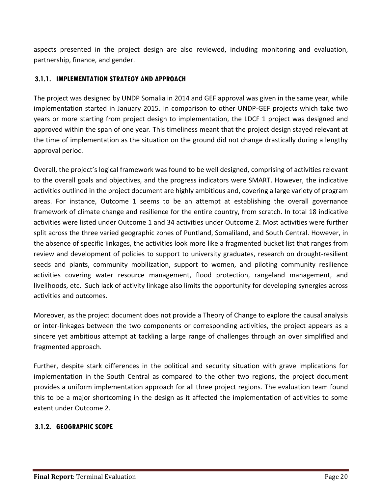aspects presented in the project design are also reviewed, including monitoring and evaluation, partnership, finance, and gender.

#### <span id="page-19-0"></span>**3.1.1. IMPLEMENTATION STRATEGY AND APPROACH**

The project was designed by UNDP Somalia in 2014 and GEF approval was given in the same year, while implementation started in January 2015. In comparison to other UNDP-GEF projects which take two years or more starting from project design to implementation, the LDCF 1 project was designed and approved within the span of one year. This timeliness meant that the project design stayed relevant at the time of implementation as the situation on the ground did not change drastically during a lengthy approval period.

Overall, the project's logical framework was found to be well designed, comprising of activities relevant to the overall goals and objectives, and the progress indicators were SMART. However, the indicative activities outlined in the project document are highly ambitious and, covering a large variety of program areas. For instance, Outcome 1 seems to be an attempt at establishing the overall governance framework of climate change and resilience for the entire country, from scratch. In total 18 indicative activities were listed under Outcome 1 and 34 activities under Outcome 2. Most activities were further split across the three varied geographic zones of Puntland, Somaliland, and South Central. However, in the absence of specific linkages, the activities look more like a fragmented bucket list that ranges from review and development of policies to support to university graduates, research on drought-resilient seeds and plants, community mobilization, support to women, and piloting community resilience activities covering water resource management, flood protection, rangeland management, and livelihoods, etc. Such lack of activity linkage also limits the opportunity for developing synergies across activities and outcomes.

Moreover, as the project document does not provide a Theory of Change to explore the causal analysis or inter-linkages between the two components or corresponding activities, the project appears as a sincere yet ambitious attempt at tackling a large range of challenges through an over simplified and fragmented approach.

Further, despite stark differences in the political and security situation with grave implications for implementation in the South Central as compared to the other two regions, the project document provides a uniform implementation approach for all three project regions. The evaluation team found this to be a major shortcoming in the design as it affected the implementation of activities to some extent under Outcome 2.

#### <span id="page-19-1"></span>**3.1.2. GEOGRAPHIC SCOPE**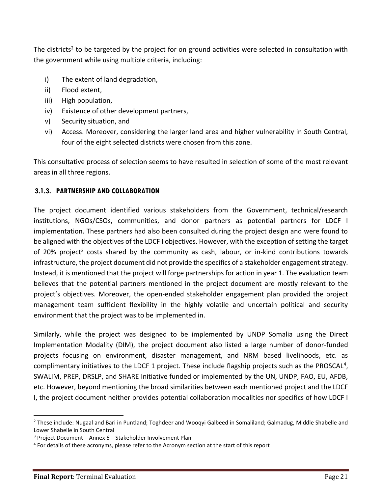The districts<sup>2</sup> to be targeted by the project for on ground activities were selected in consultation with the government while using multiple criteria, including:

- i) The extent of land degradation,
- ii) Flood extent,
- iii) High population,
- iv) Existence of other development partners,
- v) Security situation, and
- vi) Access. Moreover, considering the larger land area and higher vulnerability in South Central, four of the eight selected districts were chosen from this zone.

This consultative process of selection seems to have resulted in selection of some of the most relevant areas in all three regions.

#### <span id="page-20-0"></span>**3.1.3. PARTNERSHIP AND COLLABORATION**

The project document identified various stakeholders from the Government, technical/research institutions, NGOs/CSOs, communities, and donor partners as potential partners for LDCF I implementation. These partners had also been consulted during the project design and were found to be aligned with the objectives of the LDCF I objectives. However, with the exception of setting the target of 20% project<sup>3</sup> costs shared by the community as cash, labour, or in-kind contributions towards infrastructure, the project document did not provide the specifics of a stakeholder engagement strategy. Instead, it is mentioned that the project will forge partnerships for action in year 1. The evaluation team believes that the potential partners mentioned in the project document are mostly relevant to the project's objectives. Moreover, the open-ended stakeholder engagement plan provided the project management team sufficient flexibility in the highly volatile and uncertain political and security environment that the project was to be implemented in.

Similarly, while the project was designed to be implemented by UNDP Somalia using the Direct Implementation Modality (DIM), the project document also listed a large number of donor-funded projects focusing on environment, disaster management, and NRM based livelihoods, etc. as complimentary initiatives to the LDCF 1 project. These include flagship projects such as the PROSCAL<sup>4</sup>, SWALIM, PREP, DRSLP, and SHARE Initiative funded or implemented by the UN, UNDP, FAO, EU, AFDB, etc. However, beyond mentioning the broad similarities between each mentioned project and the LDCF I, the project document neither provides potential collaboration modalities nor specifics of how LDCF I

 $\overline{\phantom{a}}$ 

<sup>&</sup>lt;sup>2</sup> These include: Nugaal and Bari in Puntland; Toghdeer and Wooqyi Galbeed in Somaliland; Galmadug, Middle Shabelle and Lower Shabelle in South Central

 $3$  Project Document – Annex  $6$  – Stakeholder Involvement Plan

<sup>&</sup>lt;sup>4</sup> For details of these acronyms, please refer to the Acronym section at the start of this report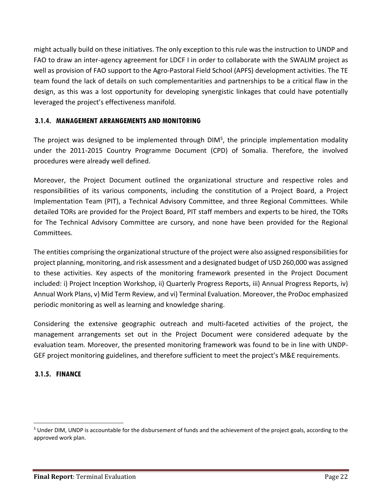might actually build on these initiatives. The only exception to this rule was the instruction to UNDP and FAO to draw an inter-agency agreement for LDCF I in order to collaborate with the SWALIM project as well as provision of FAO support to the Agro-Pastoral Field School (APFS) development activities. The TE team found the lack of details on such complementarities and partnerships to be a critical flaw in the design, as this was a lost opportunity for developing synergistic linkages that could have potentially leveraged the project's effectiveness manifold.

#### <span id="page-21-0"></span>**3.1.4. MANAGEMENT ARRANGEMENTS AND MONITORING**

The project was designed to be implemented through DIM<sup>5</sup>, the principle implementation modality under the 2011-2015 Country Programme Document (CPD) of Somalia. Therefore, the involved procedures were already well defined.

Moreover, the Project Document outlined the organizational structure and respective roles and responsibilities of its various components, including the constitution of a Project Board, a Project Implementation Team (PIT), a Technical Advisory Committee, and three Regional Committees. While detailed TORs are provided for the Project Board, PIT staff members and experts to be hired, the TORs for The Technical Advisory Committee are cursory, and none have been provided for the Regional Committees.

The entities comprising the organizational structure of the project were also assigned responsibilities for project planning, monitoring, and risk assessment and a designated budget of USD 260,000 was assigned to these activities. Key aspects of the monitoring framework presented in the Project Document included: i) Project Inception Workshop, ii) Quarterly Progress Reports, iii) Annual Progress Reports, iv) Annual Work Plans, v) Mid Term Review, and vi) Terminal Evaluation. Moreover, the ProDoc emphasized periodic monitoring as well as learning and knowledge sharing.

Considering the extensive geographic outreach and multi-faceted activities of the project, the management arrangements set out in the Project Document were considered adequate by the evaluation team. Moreover, the presented monitoring framework was found to be in line with UNDP-GEF project monitoring guidelines, and therefore sufficient to meet the project's M&E requirements.

#### <span id="page-21-1"></span>**3.1.5. FINANCE**

 $\overline{\phantom{a}}$ 

<sup>&</sup>lt;sup>5</sup> Under DIM, UNDP is accountable for the disbursement of funds and the achievement of the project goals, according to the approved work plan.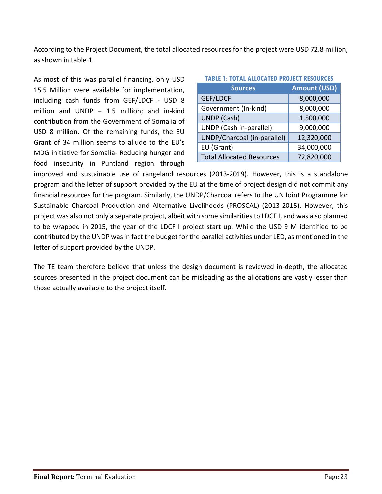According to the Project Document, the total allocated resources for the project were USD 72.8 million, as shown in table 1.

As most of this was parallel financing, only USD 15.5 Million were available for implementation, including cash funds from GEF/LDCF - USD 8 million and UNDP – 1.5 million; and in-kind contribution from the Government of Somalia of USD 8 million. Of the remaining funds, the EU Grant of 34 million seems to allude to the EU's MDG initiative for Somalia- Reducing hunger and food insecurity in Puntland region through

| <b>TABLE 1: TOTAL ALLOCATED PROJECT RESOURCES</b> |                     |  |  |
|---------------------------------------------------|---------------------|--|--|
| <b>Sources</b>                                    | <b>Amount (USD)</b> |  |  |
| GEF/LDCF                                          | 8,000,000           |  |  |
| Government (In-kind)                              | 8,000,000           |  |  |
| UNDP (Cash)                                       | 1,500,000           |  |  |
| UNDP (Cash in-parallel)                           | 9,000,000           |  |  |
| UNDP/Charcoal (in-parallel)                       | 12,320,000          |  |  |
| EU (Grant)                                        | 34,000,000          |  |  |
| <b>Total Allocated Resources</b>                  | 72,820,000          |  |  |

improved and sustainable use of rangeland resources (2013-2019). However, this is a standalone program and the letter of support provided by the EU at the time of project design did not commit any financial resources for the program. Similarly, the UNDP/Charcoal refers to the UN Joint Programme for Sustainable Charcoal Production and Alternative Livelihoods (PROSCAL) (2013-2015). However, this project was also not only a separate project, albeit with some similarities to LDCF I, and was also planned to be wrapped in 2015, the year of the LDCF I project start up. While the USD 9 M identified to be contributed by the UNDP was in fact the budget for the parallel activities under LED, as mentioned in the letter of support provided by the UNDP.

The TE team therefore believe that unless the design document is reviewed in-depth, the allocated sources presented in the project document can be misleading as the allocations are vastly lesser than those actually available to the project itself.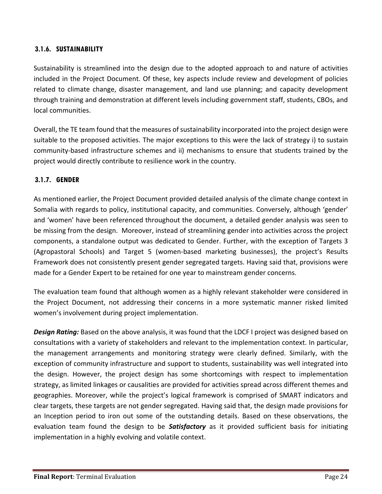#### **3.1.6. SUSTAINABILITY**

Sustainability is streamlined into the design due to the adopted approach to and nature of activities included in the Project Document. Of these, key aspects include review and development of policies related to climate change, disaster management, and land use planning; and capacity development through training and demonstration at different levels including government staff, students, CBOs, and local communities.

Overall, the TE team found that the measures of sustainability incorporated into the project design were suitable to the proposed activities. The major exceptions to this were the lack of strategy i) to sustain community-based infrastructure schemes and ii) mechanisms to ensure that students trained by the project would directly contribute to resilience work in the country.

#### **3.1.7. GENDER**

As mentioned earlier, the Project Document provided detailed analysis of the climate change context in Somalia with regards to policy, institutional capacity, and communities. Conversely, although 'gender' and 'women' have been referenced throughout the document, a detailed gender analysis was seen to be missing from the design. Moreover, instead of streamlining gender into activities across the project components, a standalone output was dedicated to Gender. Further, with the exception of Targets 3 (Agropastoral Schools) and Target 5 (women-based marketing businesses), the project's Results Framework does not consistently present gender segregated targets. Having said that, provisions were made for a Gender Expert to be retained for one year to mainstream gender concerns.

The evaluation team found that although women as a highly relevant stakeholder were considered in the Project Document, not addressing their concerns in a more systematic manner risked limited women's involvement during project implementation.

*Design Rating:* Based on the above analysis, it was found that the LDCF I project was designed based on consultations with a variety of stakeholders and relevant to the implementation context. In particular, the management arrangements and monitoring strategy were clearly defined. Similarly, with the exception of community infrastructure and support to students, sustainability was well integrated into the design. However, the project design has some shortcomings with respect to implementation strategy, as limited linkages or causalities are provided for activities spread across different themes and geographies. Moreover, while the project's logical framework is comprised of SMART indicators and clear targets, these targets are not gender segregated. Having said that, the design made provisions for an Inception period to iron out some of the outstanding details. Based on these observations, the evaluation team found the design to be *Satisfactory* as it provided sufficient basis for initiating implementation in a highly evolving and volatile context.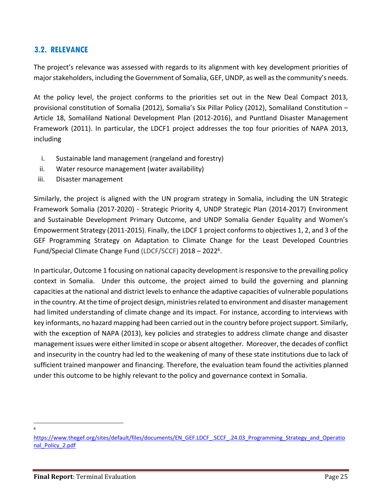#### <span id="page-24-0"></span>**3.2. RELEVANCE**

The project's relevance was assessed with regards to its alignment with key development priorities of major stakeholders, including the Government of Somalia, GEF, UNDP, as well as the community's needs.

At the policy level, the project conforms to the priorities set out in the New Deal Compact 2013, provisional constitution of Somalia (2012), Somalia's Six Pillar Policy (2012), Somaliland Constitution – Article 18, Somaliland National Development Plan (2012-2016), and Puntland Disaster Management Framework (2011). In particular, the LDCF1 project addresses the top four priorities of NAPA 2013, including

- i. Sustainable land management (rangeland and forestry)
- ii. Water resource management (water availability)
- iii. Disaster management

Similarly, the project is aligned with the UN program strategy in Somalia, including the UN Strategic Framework Somalia (2017-2020) - Strategic Priority 4, UNDP Strategic Plan (2014-2017) Environment and Sustainable Development Primary Outcome, and UNDP Somalia Gender Equality and Women's Empowerment Strategy (2011-2015). Finally, the LDCF 1 project conforms to objectives 1, 2, and 3 of the GEF Programming Strategy on Adaptation to Climate Change for the [Least Developed Countries](https://www.thegef.org/topics/least-developed-countries-fund-ldcf)  [Fund/](https://www.thegef.org/topics/least-developed-countries-fund-ldcf)[Special Climate Change Fund](https://www.thegef.org/topics/special-climate-change-fund-sccf) (LDCF/SCCF) 2018 - 2022<sup>6</sup>.

In particular, Outcome 1 focusing on national capacity development is responsive to the prevailing policy context in Somalia. Under this outcome, the project aimed to build the governing and planning capacities at the national and district levels to enhance the adaptive capacities of vulnerable populations in the country. At the time of project design, ministries related to environment and disaster management had limited understanding of climate change and its impact. For instance, according to interviews with key informants, no hazard mapping had been carried out in the country before project support. Similarly, with the exception of NAPA (2013), key policies and strategies to address climate change and disaster management issues were either limited in scope or absent altogether. Moreover, the decades of conflict and insecurity in the country had led to the weakening of many of these state institutions due to lack of sufficient trained manpower and financing. Therefore, the evaluation team found the activities planned under this outcome to be highly relevant to the policy and governance context in Somalia.

 $\overline{\phantom{a}}$ 6

[https://www.thegef.org/sites/default/files/documents/EN\\_GEF.LDCF\\_.SCCF\\_.24.03\\_Programming\\_Strategy\\_and\\_Operatio](https://www.thegef.org/sites/default/files/documents/EN_GEF.LDCF_.SCCF_.24.03_Programming_Strategy_and_Operational_Policy_2.pdf) nal Policy 2.pdf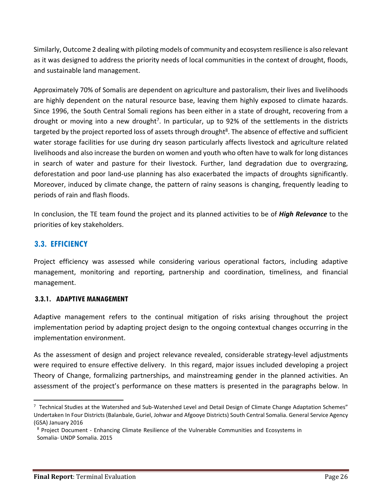Similarly, Outcome 2 dealing with piloting models of community and ecosystem resilience is also relevant as it was designed to address the priority needs of local communities in the context of drought, floods, and sustainable land management.

Approximately 70% of Somalis are dependent on agriculture and pastoralism, their lives and livelihoods are highly dependent on the natural resource base, leaving them highly exposed to climate hazards. Since 1996, the South Central Somali regions has been either in a state of drought, recovering from a drought or moving into a new drought<sup>7</sup>. In particular, up to 92% of the settlements in the districts targeted by the project reported loss of assets through drought<sup>8</sup>. The absence of effective and sufficient water storage facilities for use during dry season particularly affects livestock and agriculture related livelihoods and also increase the burden on women and youth who often have to walk for long distances in search of water and pasture for their livestock. Further, land degradation due to overgrazing, deforestation and poor land-use planning has also exacerbated the impacts of droughts significantly. Moreover, induced by climate change, the pattern of rainy seasons is changing, frequently leading to periods of rain and flash floods.

In conclusion, the TE team found the project and its planned activities to be of *High Relevance* to the priorities of key stakeholders.

#### <span id="page-25-0"></span>**3.3. EFFICIENCY**

l

Project efficiency was assessed while considering various operational factors, including adaptive management, monitoring and reporting, partnership and coordination, timeliness, and financial management.

#### <span id="page-25-1"></span>**3.3.1. ADAPTIVE MANAGEMENT**

Adaptive management refers to the continual mitigation of risks arising throughout the project implementation period by adapting project design to the ongoing contextual changes occurring in the implementation environment.

As the assessment of design and project relevance revealed, considerable strategy-level adjustments were required to ensure effective delivery. In this regard, major issues included developing a project Theory of Change, formalizing partnerships, and mainstreaming gender in the planned activities. An assessment of the project's performance on these matters is presented in the paragraphs below. In

<sup>&</sup>lt;sup>7</sup> Technical Studies at the Watershed and Sub-Watershed Level and Detail Design of Climate Change Adaptation Schemes" Undertaken In Four Districts (Balanbale, Guriel, Johwar and Afgooye Districts) South Central Somalia. General Service Agency (GSA) January 2016

<sup>&</sup>lt;sup>8</sup> Project Document - Enhancing Climate Resilience of the Vulnerable Communities and Ecosystems in Somalia- UNDP Somalia. 2015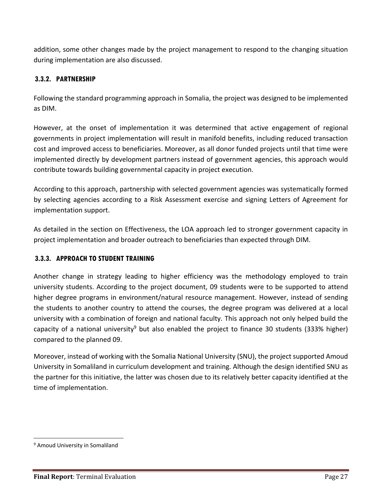addition, some other changes made by the project management to respond to the changing situation during implementation are also discussed.

#### <span id="page-26-0"></span>**3.3.2. PARTNERSHIP**

Following the standard programming approach in Somalia, the project was designed to be implemented as DIM.

However, at the onset of implementation it was determined that active engagement of regional governments in project implementation will result in manifold benefits, including reduced transaction cost and improved access to beneficiaries. Moreover, as all donor funded projects until that time were implemented directly by development partners instead of government agencies, this approach would contribute towards building governmental capacity in project execution.

According to this approach, partnership with selected government agencies was systematically formed by selecting agencies according to a Risk Assessment exercise and signing Letters of Agreement for implementation support.

As detailed in the section on Effectiveness, the LOA approach led to stronger government capacity in project implementation and broader outreach to beneficiaries than expected through DIM.

#### <span id="page-26-1"></span>**3.3.3. APPROACH TO STUDENT TRAINING**

Another change in strategy leading to higher efficiency was the methodology employed to train university students. According to the project document, 09 students were to be supported to attend higher degree programs in environment/natural resource management. However, instead of sending the students to another country to attend the courses, the degree program was delivered at a local university with a combination of foreign and national faculty. This approach not only helped build the capacity of a national university<sup>9</sup> but also enabled the project to finance 30 students (333% higher) compared to the planned 09.

Moreover, instead of working with the Somalia National University (SNU), the project supported Amoud University in Somaliland in curriculum development and training. Although the design identified SNU as the partner for this initiative, the latter was chosen due to its relatively better capacity identified at the time of implementation.

 $\overline{a}$ 

<sup>&</sup>lt;sup>9</sup> Amoud University in Somaliland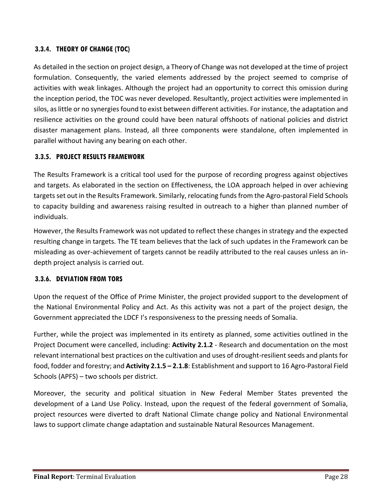#### <span id="page-27-0"></span>**3.3.4. THEORY OF CHANGE (TOC)**

As detailed in the section on project design, a Theory of Change was not developed at the time of project formulation. Consequently, the varied elements addressed by the project seemed to comprise of activities with weak linkages. Although the project had an opportunity to correct this omission during the inception period, the TOC was never developed. Resultantly, project activities were implemented in silos, as little or no synergies found to exist between different activities. For instance, the adaptation and resilience activities on the ground could have been natural offshoots of national policies and district disaster management plans. Instead, all three components were standalone, often implemented in parallel without having any bearing on each other.

#### <span id="page-27-1"></span>**3.3.5. PROJECT RESULTS FRAMEWORK**

The Results Framework is a critical tool used for the purpose of recording progress against objectives and targets. As elaborated in the section on Effectiveness, the LOA approach helped in over achieving targets set out in the Results Framework. Similarly, relocating funds from the Agro-pastoral Field Schools to capacity building and awareness raising resulted in outreach to a higher than planned number of individuals.

However, the Results Framework was not updated to reflect these changes in strategy and the expected resulting change in targets. The TE team believes that the lack of such updates in the Framework can be misleading as over-achievement of targets cannot be readily attributed to the real causes unless an indepth project analysis is carried out.

#### <span id="page-27-2"></span>**3.3.6. DEVIATION FROM TORS**

Upon the request of the Office of Prime Minister, the project provided support to the development of the National Environmental Policy and Act. As this activity was not a part of the project design, the Government appreciated the LDCF I's responsiveness to the pressing needs of Somalia.

Further, while the project was implemented in its entirety as planned, some activities outlined in the Project Document were cancelled, including: **Activity 2.1.2** - Research and documentation on the most relevant international best practices on the cultivation and uses of drought-resilient seeds and plants for food, fodder and forestry; and **Activity 2.1.5 – 2.1.8**: Establishment and support to 16 Agro-Pastoral Field Schools (APFS) – two schools per district.

Moreover, the security and political situation in New Federal Member States prevented the development of a Land Use Policy. Instead, upon the request of the federal government of Somalia, project resources were diverted to draft National Climate change policy and National Environmental laws to support climate change adaptation and sustainable Natural Resources Management.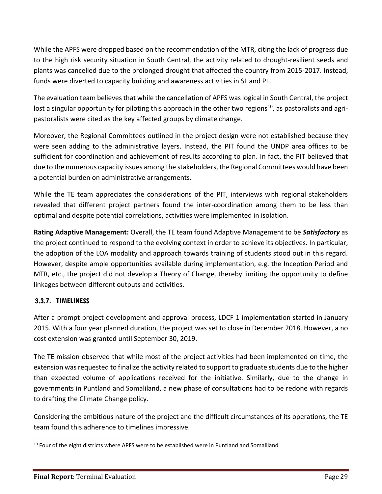While the APFS were dropped based on the recommendation of the MTR, citing the lack of progress due to the high risk security situation in South Central, the activity related to drought-resilient seeds and plants was cancelled due to the prolonged drought that affected the country from 2015-2017. Instead, funds were diverted to capacity building and awareness activities in SL and PL.

The evaluation team believes that while the cancellation of APFS was logical in South Central, the project lost a singular opportunity for piloting this approach in the other two regions<sup>10</sup>, as pastoralists and agripastoralists were cited as the key affected groups by climate change.

Moreover, the Regional Committees outlined in the project design were not established because they were seen adding to the administrative layers. Instead, the PIT found the UNDP area offices to be sufficient for coordination and achievement of results according to plan. In fact, the PIT believed that due to the numerous capacity issues among the stakeholders, the Regional Committees would have been a potential burden on administrative arrangements.

While the TE team appreciates the considerations of the PIT, interviews with regional stakeholders revealed that different project partners found the inter-coordination among them to be less than optimal and despite potential correlations, activities were implemented in isolation.

**Rating Adaptive Management:** Overall, the TE team found Adaptive Management to be *Satisfactory* as the project continued to respond to the evolving context in order to achieve its objectives. In particular, the adoption of the LOA modality and approach towards training of students stood out in this regard. However, despite ample opportunities available during implementation, e.g. the Inception Period and MTR, etc., the project did not develop a Theory of Change, thereby limiting the opportunity to define linkages between different outputs and activities.

#### <span id="page-28-0"></span>**3.3.7. TIMELINESS**

 $\overline{a}$ 

After a prompt project development and approval process, LDCF 1 implementation started in January 2015. With a four year planned duration, the project was set to close in December 2018. However, a no cost extension was granted until September 30, 2019.

The TE mission observed that while most of the project activities had been implemented on time, the extension was requested to finalize the activity related to support to graduate students due to the higher than expected volume of applications received for the initiative. Similarly, due to the change in governments in Puntland and Somaliland, a new phase of consultations had to be redone with regards to drafting the Climate Change policy.

Considering the ambitious nature of the project and the difficult circumstances of its operations, the TE team found this adherence to timelines impressive.

<sup>&</sup>lt;sup>10</sup> Four of the eight districts where APFS were to be established were in Puntland and Somaliland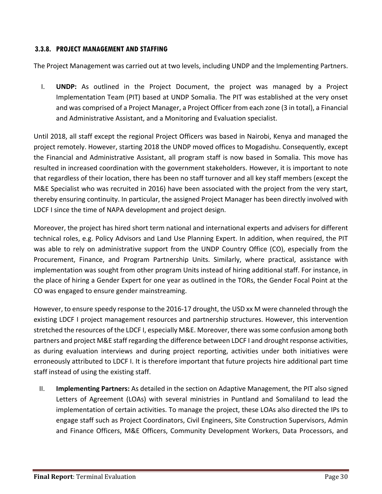#### <span id="page-29-0"></span>**3.3.8. PROJECT MANAGEMENT AND STAFFING**

The Project Management was carried out at two levels, including UNDP and the Implementing Partners.

I. **UNDP:** As outlined in the Project Document, the project was managed by a Project Implementation Team (PIT) based at UNDP Somalia. The PIT was established at the very onset and was comprised of a Project Manager, a Project Officer from each zone (3 in total), a Financial and Administrative Assistant, and a Monitoring and Evaluation specialist.

Until 2018, all staff except the regional Project Officers was based in Nairobi, Kenya and managed the project remotely. However, starting 2018 the UNDP moved offices to Mogadishu. Consequently, except the Financial and Administrative Assistant, all program staff is now based in Somalia. This move has resulted in increased coordination with the government stakeholders. However, it is important to note that regardless of their location, there has been no staff turnover and all key staff members (except the M&E Specialist who was recruited in 2016) have been associated with the project from the very start, thereby ensuring continuity. In particular, the assigned Project Manager has been directly involved with LDCF I since the time of NAPA development and project design.

Moreover, the project has hired short term national and international experts and advisers for different technical roles, e.g. Policy Advisors and Land Use Planning Expert. In addition, when required, the PIT was able to rely on administrative support from the UNDP Country Office (CO), especially from the Procurement, Finance, and Program Partnership Units. Similarly, where practical, assistance with implementation was sought from other program Units instead of hiring additional staff. For instance, in the place of hiring a Gender Expert for one year as outlined in the TORs, the Gender Focal Point at the CO was engaged to ensure gender mainstreaming.

However, to ensure speedy response to the 2016-17 drought, the USD xx M were channeled through the existing LDCF I project management resources and partnership structures. However, this intervention stretched the resources of the LDCF I, especially M&E. Moreover, there was some confusion among both partners and project M&E staff regarding the difference between LDCF I and drought response activities, as during evaluation interviews and during project reporting, activities under both initiatives were erroneously attributed to LDCF I. It is therefore important that future projects hire additional part time staff instead of using the existing staff.

II. **Implementing Partners:** As detailed in the section on Adaptive Management, the PIT also signed Letters of Agreement (LOAs) with several ministries in Puntland and Somaliland to lead the implementation of certain activities. To manage the project, these LOAs also directed the IPs to engage staff such as Project Coordinators, Civil Engineers, Site Construction Supervisors, Admin and Finance Officers, M&E Officers, Community Development Workers, Data Processors, and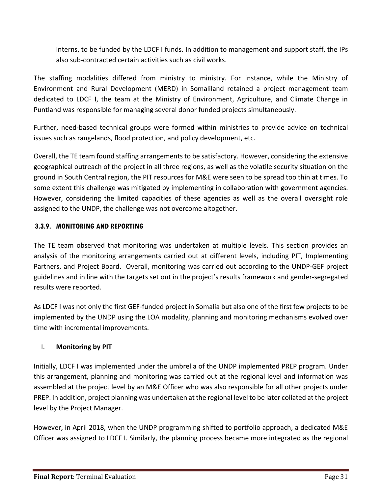interns, to be funded by the LDCF I funds. In addition to management and support staff, the IPs also sub-contracted certain activities such as civil works.

The staffing modalities differed from ministry to ministry. For instance, while the Ministry of Environment and Rural Development (MERD) in Somaliland retained a project management team dedicated to LDCF I, the team at the Ministry of Environment, Agriculture, and Climate Change in Puntland was responsible for managing several donor funded projects simultaneously.

Further, need-based technical groups were formed within ministries to provide advice on technical issues such as rangelands, flood protection, and policy development, etc.

Overall, the TE team found staffing arrangements to be satisfactory. However, considering the extensive geographical outreach of the project in all three regions, as well as the volatile security situation on the ground in South Central region, the PIT resources for M&E were seen to be spread too thin at times. To some extent this challenge was mitigated by implementing in collaboration with government agencies. However, considering the limited capacities of these agencies as well as the overall oversight role assigned to the UNDP, the challenge was not overcome altogether.

#### <span id="page-30-0"></span>**3.3.9. MONITORING AND REPORTING**

The TE team observed that monitoring was undertaken at multiple levels. This section provides an analysis of the monitoring arrangements carried out at different levels, including PIT, Implementing Partners, and Project Board. Overall, monitoring was carried out according to the UNDP-GEF project guidelines and in line with the targets set out in the project's results framework and gender-segregated results were reported.

As LDCF I was not only the first GEF-funded project in Somalia but also one of the first few projects to be implemented by the UNDP using the LOA modality, planning and monitoring mechanisms evolved over time with incremental improvements.

#### I. **Monitoring by PIT**

Initially, LDCF I was implemented under the umbrella of the UNDP implemented PREP program. Under this arrangement, planning and monitoring was carried out at the regional level and information was assembled at the project level by an M&E Officer who was also responsible for all other projects under PREP. In addition, project planning was undertaken at the regional level to be later collated at the project level by the Project Manager.

However, in April 2018, when the UNDP programming shifted to portfolio approach, a dedicated M&E Officer was assigned to LDCF I. Similarly, the planning process became more integrated as the regional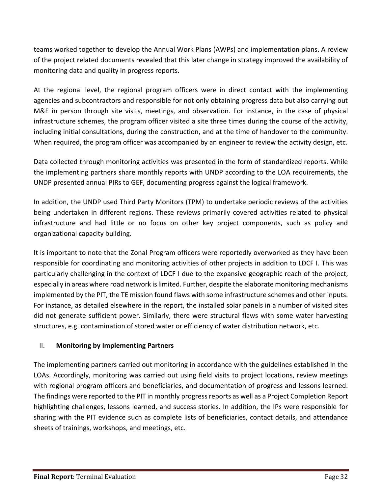teams worked together to develop the Annual Work Plans (AWPs) and implementation plans. A review of the project related documents revealed that this later change in strategy improved the availability of monitoring data and quality in progress reports.

At the regional level, the regional program officers were in direct contact with the implementing agencies and subcontractors and responsible for not only obtaining progress data but also carrying out M&E in person through site visits, meetings, and observation. For instance, in the case of physical infrastructure schemes, the program officer visited a site three times during the course of the activity, including initial consultations, during the construction, and at the time of handover to the community. When required, the program officer was accompanied by an engineer to review the activity design, etc.

Data collected through monitoring activities was presented in the form of standardized reports. While the implementing partners share monthly reports with UNDP according to the LOA requirements, the UNDP presented annual PIRs to GEF, documenting progress against the logical framework.

In addition, the UNDP used Third Party Monitors (TPM) to undertake periodic reviews of the activities being undertaken in different regions. These reviews primarily covered activities related to physical infrastructure and had little or no focus on other key project components, such as policy and organizational capacity building.

It is important to note that the Zonal Program officers were reportedly overworked as they have been responsible for coordinating and monitoring activities of other projects in addition to LDCF I. This was particularly challenging in the context of LDCF I due to the expansive geographic reach of the project, especially in areas where road network is limited. Further, despite the elaborate monitoring mechanisms implemented by the PIT, the TE mission found flaws with some infrastructure schemes and other inputs. For instance, as detailed elsewhere in the report, the installed solar panels in a number of visited sites did not generate sufficient power. Similarly, there were structural flaws with some water harvesting structures, e.g. contamination of stored water or efficiency of water distribution network, etc.

#### II. **Monitoring by Implementing Partners**

The implementing partners carried out monitoring in accordance with the guidelines established in the LOAs. Accordingly, monitoring was carried out using field visits to project locations, review meetings with regional program officers and beneficiaries, and documentation of progress and lessons learned. The findings were reported to the PIT in monthly progress reports as well as a Project Completion Report highlighting challenges, lessons learned, and success stories. In addition, the IPs were responsible for sharing with the PIT evidence such as complete lists of beneficiaries, contact details, and attendance sheets of trainings, workshops, and meetings, etc.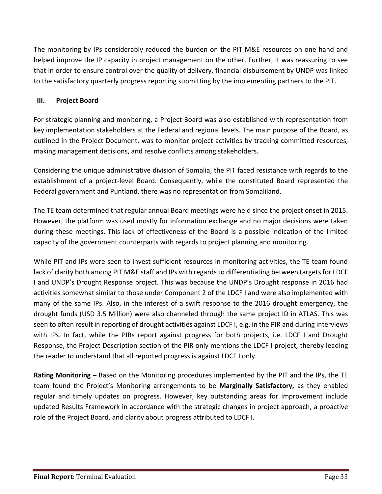The monitoring by IPs considerably reduced the burden on the PIT M&E resources on one hand and helped improve the IP capacity in project management on the other. Further, it was reassuring to see that in order to ensure control over the quality of delivery, financial disbursement by UNDP was linked to the satisfactory quarterly progress reporting submitting by the implementing partners to the PIT.

#### **III. Project Board**

For strategic planning and monitoring, a Project Board was also established with representation from key implementation stakeholders at the Federal and regional levels. The main purpose of the Board, as outlined in the Project Document, was to monitor project activities by tracking committed resources, making management decisions, and resolve conflicts among stakeholders.

Considering the unique administrative division of Somalia, the PIT faced resistance with regards to the establishment of a project-level Board. Consequently, while the constituted Board represented the Federal government and Puntland, there was no representation from Somaliland.

The TE team determined that regular annual Board meetings were held since the project onset in 2015. However, the platform was used mostly for information exchange and no major decisions were taken during these meetings. This lack of effectiveness of the Board is a possible indication of the limited capacity of the government counterparts with regards to project planning and monitoring.

While PIT and IPs were seen to invest sufficient resources in monitoring activities, the TE team found lack of clarity both among PIT M&E staff and IPs with regards to differentiating between targets for LDCF I and UNDP's Drought Response project. This was because the UNDP's Drought response in 2016 had activities somewhat similar to those under Component 2 of the LDCF I and were also implemented with many of the same IPs. Also, in the interest of a swift response to the 2016 drought emergency, the drought funds (USD 3.5 Million) were also channeled through the same project ID in ATLAS. This was seen to often result in reporting of drought activities against LDCF I, e.g. in the PIR and during interviews with IPs. In fact, while the PIRs report against progress for both projects, i.e. LDCF I and Drought Response, the Project Description section of the PIR only mentions the LDCF I project, thereby leading the reader to understand that all reported progress is against LDCF I only.

**Rating Monitoring –** Based on the Monitoring procedures implemented by the PIT and the IPs, the TE team found the Project's Monitoring arrangements to be **Marginally Satisfactory,** as they enabled regular and timely updates on progress. However, key outstanding areas for improvement include updated Results Framework in accordance with the strategic changes in project approach, a proactive role of the Project Board, and clarity about progress attributed to LDCF I.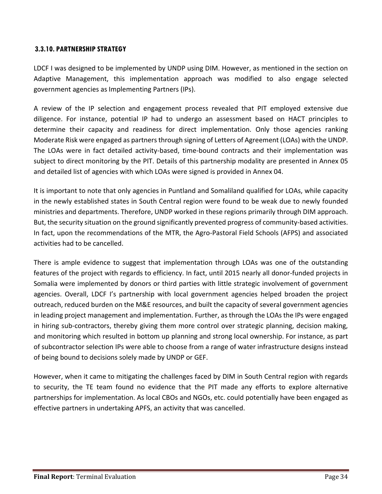#### <span id="page-33-0"></span>**3.3.10. PARTNERSHIP STRATEGY**

LDCF I was designed to be implemented by UNDP using DIM. However, as mentioned in the section on Adaptive Management, this implementation approach was modified to also engage selected government agencies as Implementing Partners (IPs).

A review of the IP selection and engagement process revealed that PIT employed extensive due diligence. For instance, potential IP had to undergo an assessment based on HACT principles to determine their capacity and readiness for direct implementation. Only those agencies ranking Moderate Risk were engaged as partners through signing of Letters of Agreement (LOAs) with the UNDP. The LOAs were in fact detailed activity-based, time-bound contracts and their implementation was subject to direct monitoring by the PIT. Details of this partnership modality are presented in Annex 05 and detailed list of agencies with which LOAs were signed is provided in Annex 04.

It is important to note that only agencies in Puntland and Somaliland qualified for LOAs, while capacity in the newly established states in South Central region were found to be weak due to newly founded ministries and departments. Therefore, UNDP worked in these regions primarily through DIM approach. But, the security situation on the ground significantly prevented progress of community-based activities. In fact, upon the recommendations of the MTR, the Agro-Pastoral Field Schools (AFPS) and associated activities had to be cancelled.

There is ample evidence to suggest that implementation through LOAs was one of the outstanding features of the project with regards to efficiency. In fact, until 2015 nearly all donor-funded projects in Somalia were implemented by donors or third parties with little strategic involvement of government agencies. Overall, LDCF I's partnership with local government agencies helped broaden the project outreach, reduced burden on the M&E resources, and built the capacity of several government agencies in leading project management and implementation. Further, as through the LOAs the IPs were engaged in hiring sub-contractors, thereby giving them more control over strategic planning, decision making, and monitoring which resulted in bottom up planning and strong local ownership. For instance, as part of subcontractor selection IPs were able to choose from a range of water infrastructure designs instead of being bound to decisions solely made by UNDP or GEF.

However, when it came to mitigating the challenges faced by DIM in South Central region with regards to security, the TE team found no evidence that the PIT made any efforts to explore alternative partnerships for implementation. As local CBOs and NGOs, etc. could potentially have been engaged as effective partners in undertaking APFS, an activity that was cancelled.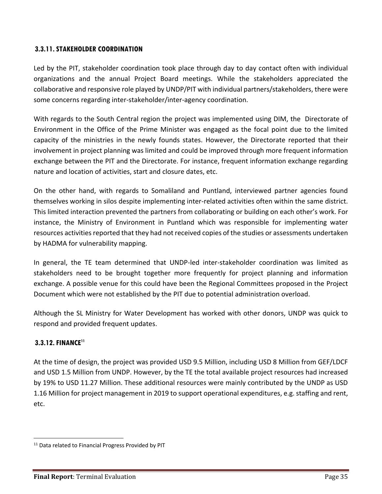#### <span id="page-34-0"></span>**3.3.11.STAKEHOLDER COORDINATION**

Led by the PIT, stakeholder coordination took place through day to day contact often with individual organizations and the annual Project Board meetings. While the stakeholders appreciated the collaborative and responsive role played by UNDP/PIT with individual partners/stakeholders, there were some concerns regarding inter-stakeholder/inter-agency coordination.

With regards to the South Central region the project was implemented using DIM, the Directorate of Environment in the Office of the Prime Minister was engaged as the focal point due to the limited capacity of the ministries in the newly founds states. However, the Directorate reported that their involvement in project planning was limited and could be improved through more frequent information exchange between the PIT and the Directorate. For instance, frequent information exchange regarding nature and location of activities, start and closure dates, etc.

On the other hand, with regards to Somaliland and Puntland, interviewed partner agencies found themselves working in silos despite implementing inter-related activities often within the same district. This limited interaction prevented the partners from collaborating or building on each other's work. For instance, the Ministry of Environment in Puntland which was responsible for implementing water resources activities reported that they had not received copies of the studies or assessments undertaken by HADMA for vulnerability mapping.

In general, the TE team determined that UNDP-led inter-stakeholder coordination was limited as stakeholders need to be brought together more frequently for project planning and information exchange. A possible venue for this could have been the Regional Committees proposed in the Project Document which were not established by the PIT due to potential administration overload.

Although the SL Ministry for Water Development has worked with other donors, UNDP was quick to respond and provided frequent updates.

#### <span id="page-34-1"></span>**3.3.12. FINANCE<sup>11</sup>**

 $\overline{a}$ 

At the time of design, the project was provided USD 9.5 Million, including USD 8 Million from GEF/LDCF and USD 1.5 Million from UNDP. However, by the TE the total available project resources had increased by 19% to USD 11.27 Million. These additional resources were mainly contributed by the UNDP as USD 1.16 Million for project management in 2019 to support operational expenditures, e.g. staffing and rent, etc.

<sup>&</sup>lt;sup>11</sup> Data related to Financial Progress Provided by PIT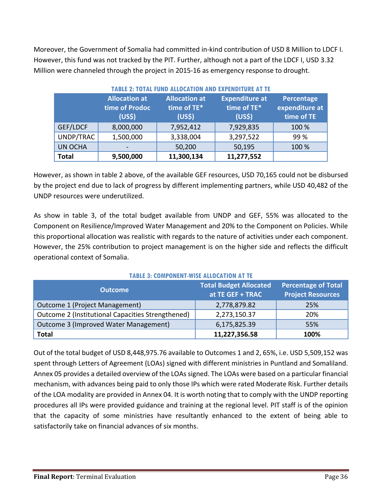Moreover, the Government of Somalia had committed in-kind contribution of USD 8 Million to LDCF I. However, this fund was not tracked by the PIT. Further, although not a part of the LDCF I, USD 3.32 Million were channeled through the project in 2015-16 as emergency response to drought.

| <b>TABLE 2: TOTAL FUND ALLOCATION AND EXPENDITURE AT TE</b> |                                                              |                                                           |                                                            |                                            |
|-------------------------------------------------------------|--------------------------------------------------------------|-----------------------------------------------------------|------------------------------------------------------------|--------------------------------------------|
|                                                             | <b>Allocation at</b><br>time of Prodoc<br>(US <sub>5</sub> ) | <b>Allocation at</b><br>time of TE*<br>(US <sub>5</sub> ) | <b>Expenditure at</b><br>time of TE*<br>(US <sub>5</sub> ) | Percentage<br>expenditure at<br>time of TE |
| GEF/LDCF                                                    | 8,000,000                                                    | 7,952,412                                                 | 7,929,835                                                  | 100 %                                      |
| UNDP/TRAC                                                   | 1,500,000                                                    | 3,338,004                                                 | 3,297,522                                                  | 99 %                                       |
| <b>UN OCHA</b>                                              |                                                              | 50,200                                                    | 50,195                                                     | 100 %                                      |
| <b>Total</b>                                                | 9,500,000                                                    | 11,300,134                                                | 11,277,552                                                 |                                            |

However, as shown in table 2 above, of the available GEF resources, USD 70,165 could not be disbursed by the project end due to lack of progress by different implementing partners, while USD 40,482 of the UNDP resources were underutilized.

As show in table 3, of the total budget available from UNDP and GEF, 55% was allocated to the Component on Resilience/Improved Water Management and 20% to the Component on Policies. While this proportional allocation was realistic with regards to the nature of activities under each component. However, the 25% contribution to project management is on the higher side and reflects the difficult operational context of Somalia.

| <b>Outcome</b>                                    | <b>Total Budget Allocated</b><br>at TE GEF + TRAC | <b>Percentage of Total</b><br><b>Project Resources</b> |  |
|---------------------------------------------------|---------------------------------------------------|--------------------------------------------------------|--|
| Outcome 1 (Project Management)                    | 2,778,879.82                                      | 25%                                                    |  |
| Outcome 2 (Institutional Capacities Strengthened) | 2,273,150.37                                      | 20%                                                    |  |
| Outcome 3 (Improved Water Management)             | 6,175,825.39                                      | 55%                                                    |  |
| <b>Total</b>                                      | 11,227,356.58                                     | 100%                                                   |  |

#### **TABLE 3: COMPONENT-WISE ALLOCATION AT TE**

Out of the total budget of USD 8,448,975.76 available to Outcomes 1 and 2, 65%, i.e. USD 5,509,152 was spent through Letters of Agreement (LOAs) signed with different ministries in Puntland and Somaliland. Annex 05 provides a detailed overview of the LOAs signed. The LOAs were based on a particular financial mechanism, with advances being paid to only those IPs which were rated Moderate Risk. Further details of the LOA modality are provided in Annex 04. It is worth noting that to comply with the UNDP reporting procedures all IPs were provided guidance and training at the regional level. PIT staff is of the opinion that the capacity of some ministries have resultantly enhanced to the extent of being able to satisfactorily take on financial advances of six months.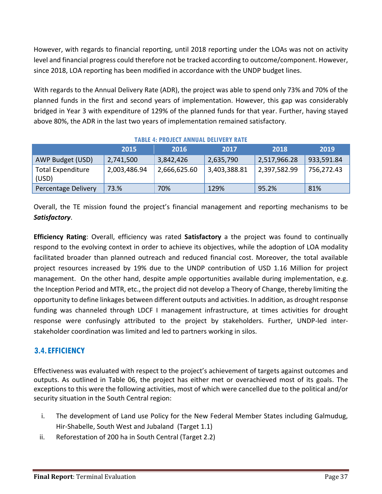However, with regards to financial reporting, until 2018 reporting under the LOAs was not on activity level and financial progress could therefore not be tracked according to outcome/component. However, since 2018, LOA reporting has been modified in accordance with the UNDP budget lines.

With regards to the Annual Delivery Rate (ADR), the project was able to spend only 73% and 70% of the planned funds in the first and second years of implementation. However, this gap was considerably bridged in Year 3 with expenditure of 129% of the planned funds for that year. Further, having stayed above 80%, the ADR in the last two years of implementation remained satisfactory.

|                                   | IMDLL 7. I RWJLYT MINIVML DLLIVLRT RMTL |              |              |                  |            |
|-----------------------------------|-----------------------------------------|--------------|--------------|------------------|------------|
|                                   | 2015                                    | 2016         | 2017         | 2018             | 2019       |
| AWP Budget (USD)                  | 2,741,500                               | 3,842,426    | 2,635,790    | 2,517,966.28     | 933,591.84 |
| <b>Total Expenditure</b><br>(USD) | 2,003,486.94                            | 2,666,625.60 | 3,403,388.81 | $'$ 2,397,582.99 | 756,272.43 |
| Percentage Delivery               | 73.%                                    | 70%          | 129%         | 95.2%            | 81%        |

#### **TABLE 4: PROJECT ANNUAL DELIVERY RATE**

Overall, the TE mission found the project's financial management and reporting mechanisms to be *Satisfactory*.

**Efficiency Rating**: Overall, efficiency was rated **Satisfactory** a the project was found to continually respond to the evolving context in order to achieve its objectives, while the adoption of LOA modality facilitated broader than planned outreach and reduced financial cost. Moreover, the total available project resources increased by 19% due to the UNDP contribution of USD 1.16 Million for project management. On the other hand, despite ample opportunities available during implementation, e.g. the Inception Period and MTR, etc., the project did not develop a Theory of Change, thereby limiting the opportunity to define linkages between different outputs and activities. In addition, as drought response funding was channeled through LDCF I management infrastructure, at times activities for drought response were confusingly attributed to the project by stakeholders. Further, UNDP-led interstakeholder coordination was limited and led to partners working in silos.

# **3.4.EFFICIENCY**

Effectiveness was evaluated with respect to the project's achievement of targets against outcomes and outputs. As outlined in Table 06, the project has either met or overachieved most of its goals. The exceptions to this were the following activities, most of which were cancelled due to the political and/or security situation in the South Central region:

- i. The development of Land use Policy for the New Federal Member States including Galmudug, Hir-Shabelle, South West and Jubaland (Target 1.1)
- ii. Reforestation of 200 ha in South Central (Target 2.2)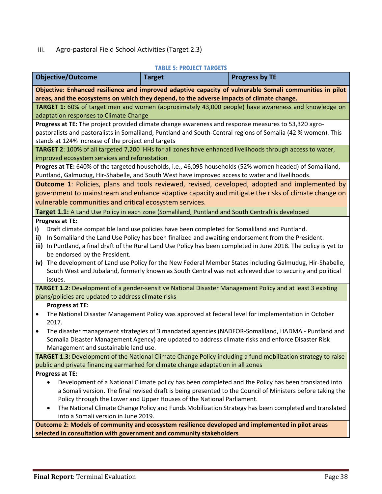# iii. Agro-pastoral Field School Activities (Target 2.3)

# **TABLE 5: PROJECT TARGETS**

|                                                                                                                                                                                                    | TABLE 5: PROJECT TARGETS |                                                                                                                    |  |  |  |
|----------------------------------------------------------------------------------------------------------------------------------------------------------------------------------------------------|--------------------------|--------------------------------------------------------------------------------------------------------------------|--|--|--|
| <b>Objective/Outcome</b>                                                                                                                                                                           | <b>Target</b>            | <b>Progress by TE</b>                                                                                              |  |  |  |
|                                                                                                                                                                                                    |                          | Objective: Enhanced resilience and improved adaptive capacity of vulnerable Somali communities in pilot            |  |  |  |
| areas, and the ecosystems on which they depend, to the adverse impacts of climate change.                                                                                                          |                          |                                                                                                                    |  |  |  |
|                                                                                                                                                                                                    |                          | TARGET 1: 60% of target men and women (approximately 43,000 people) have awareness and knowledge on                |  |  |  |
| adaptation responses to Climate Change                                                                                                                                                             |                          |                                                                                                                    |  |  |  |
| Progress at TE: The project provided climate change awareness and response measures to 53,320 agro-                                                                                                |                          |                                                                                                                    |  |  |  |
| stands at 124% increase of the project end targets                                                                                                                                                 |                          | pastoralists and pastoralists in Somaliland, Puntland and South-Central regions of Somalia (42 % women). This      |  |  |  |
|                                                                                                                                                                                                    |                          | TARGET 2: 100% of all targeted 7,200 HHs for all zones have enhanced livelihoods through access to water,          |  |  |  |
| improved ecosystem services and reforestation                                                                                                                                                      |                          |                                                                                                                    |  |  |  |
|                                                                                                                                                                                                    |                          | Progres at TE: 640% of the targeted households, i.e., 46,095 households (52% women headed) of Somaliland,          |  |  |  |
| Puntland, Galmudug, Hir-Shabelle, and South West have improved access to water and livelihoods.                                                                                                    |                          |                                                                                                                    |  |  |  |
|                                                                                                                                                                                                    |                          | <b>Outcome 1:</b> Policies, plans and tools reviewed, revised, developed, adopted and implemented by               |  |  |  |
|                                                                                                                                                                                                    |                          | government to mainstream and enhance adaptive capacity and mitigate the risks of climate change on                 |  |  |  |
| vulnerable communities and critical ecosystem services.                                                                                                                                            |                          |                                                                                                                    |  |  |  |
| Target 1.1: A Land Use Policy in each zone (Somaliland, Puntland and South Central) is developed                                                                                                   |                          |                                                                                                                    |  |  |  |
| Progress at TE:                                                                                                                                                                                    |                          |                                                                                                                    |  |  |  |
| Draft climate compatible land use policies have been completed for Somaliland and Puntland.<br>i)                                                                                                  |                          |                                                                                                                    |  |  |  |
| ii)                                                                                                                                                                                                |                          | In Somaliland the Land Use Policy has been finalized and awaiting endorsement from the President.                  |  |  |  |
|                                                                                                                                                                                                    |                          | iii) In Puntland, a final draft of the Rural Land Use Policy has been completed in June 2018. The policy is yet to |  |  |  |
| be endorsed by the President.                                                                                                                                                                      |                          |                                                                                                                    |  |  |  |
|                                                                                                                                                                                                    |                          | iv) The development of Land use Policy for the New Federal Member States including Galmudug, Hir-Shabelle,         |  |  |  |
|                                                                                                                                                                                                    |                          | South West and Jubaland, formerly known as South Central was not achieved due to security and political            |  |  |  |
| issues.                                                                                                                                                                                            |                          |                                                                                                                    |  |  |  |
|                                                                                                                                                                                                    |                          | TARGET 1.2: Development of a gender-sensitive National Disaster Management Policy and at least 3 existing          |  |  |  |
| plans/policies are updated to address climate risks                                                                                                                                                |                          |                                                                                                                    |  |  |  |
| Progress at TE:                                                                                                                                                                                    |                          |                                                                                                                    |  |  |  |
| ٠<br>2017.                                                                                                                                                                                         |                          | The National Disaster Management Policy was approved at federal level for implementation in October                |  |  |  |
| $\bullet$                                                                                                                                                                                          |                          | The disaster management strategies of 3 mandated agencies (NADFOR-Somaliland, HADMA - Puntland and                 |  |  |  |
|                                                                                                                                                                                                    |                          | Somalia Disaster Management Agency) are updated to address climate risks and enforce Disaster Risk                 |  |  |  |
| Management and sustainable land use.                                                                                                                                                               |                          |                                                                                                                    |  |  |  |
|                                                                                                                                                                                                    |                          |                                                                                                                    |  |  |  |
| TARGET 1.3: Development of the National Climate Change Policy including a fund mobilization strategy to raise<br>public and private financing earmarked for climate change adaptation in all zones |                          |                                                                                                                    |  |  |  |
| Progress at TE:                                                                                                                                                                                    |                          |                                                                                                                    |  |  |  |
|                                                                                                                                                                                                    |                          | Development of a National Climate policy has been completed and the Policy has been translated into                |  |  |  |
| a Somali version. The final revised draft is being presented to the Council of Ministers before taking the                                                                                         |                          |                                                                                                                    |  |  |  |
| Policy through the Lower and Upper Houses of the National Parliament.                                                                                                                              |                          |                                                                                                                    |  |  |  |
|                                                                                                                                                                                                    |                          | The National Climate Change Policy and Funds Mobilization Strategy has been completed and translated               |  |  |  |
| into a Somali version in June 2019.                                                                                                                                                                |                          |                                                                                                                    |  |  |  |
| Outcome 2: Models of community and ecosystem resilience developed and implemented in pilot areas                                                                                                   |                          |                                                                                                                    |  |  |  |
| selected in consultation with government and community stakeholders                                                                                                                                |                          |                                                                                                                    |  |  |  |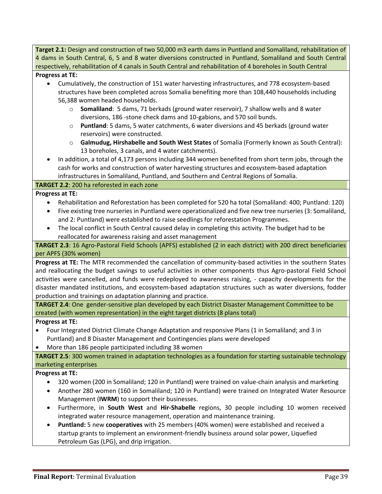**Target 2.1:** Design and construction of two 50,000 m3 earth dams in Puntland and Somaliland, rehabilitation of 4 dams in South Central, 6, 5 and 8 water diversions constructed in Puntland, Somaliland and South Central respectively, rehabilitation of 4 canals in South Central and rehabilitation of 4 boreholes in South Central

#### **Progress at TE:**

- Cumulatively, the construction of 151 water harvesting infrastructures, and 778 ecosystem-based structures have been completed across Somalia benefiting more than 108,440 households including 56,388 women headed households.
	- o **Somaliland**: 5 dams, 71 berkads (ground water reservoir), 7 shallow wells and 8 water diversions, 186 -stone check dams and 10-gabions, and 570 soil bunds.
	- o **Puntland**: 5 dams, 5 water catchments, 6 water diversions and 45 berkads (ground water reservoirs) were constructed.
	- o **Galmudug, Hirshabelle and South West States** of Somalia (Formerly known as South Central): 13 boreholes, 3 canals, and 4 water catchments).
- In addition, a total of 4,173 persons including 344 women benefited from short term jobs, through the cash for works and construction of water harvesting structures and ecosystem-based adaptation infrastructures in Somaliland, Puntland, and Southern and Central Regions of Somalia.

#### **TARGET 2.2**: 200 ha reforested in each zone

#### **Progress at TE:**

- Rehabilitation and Reforestation has been completed for 520 ha total (Somaliland: 400; Puntland: 120)
- Five existing tree nurseries in Puntland were operationalized and five new tree nurseries (3: Somaliland, and 2: Puntland) were established to raise seedlings for reforestation Programmes.
- The local conflict in South Central caused delay in completing this activity. The budget had to be reallocated for awareness raising and asset management

**TARGET 2.3**: 16 Agro-Pastoral Field Schools (APFS) established (2 in each district) with 200 direct beneficiaries per APFS (30% women)

**Progress at TE:** The MTR recommended the cancellation of community-based activities in the southern States and reallocating the budget savings to useful activities in other components thus Agro-pastoral Field School activities were cancelled, and funds were redeployed to awareness raising, - capacity developments for the disaster mandated institutions, and ecosystem-based adaptation structures such as water diversions, fodder production and trainings on adaptation planning and practice.

**TARGET 2.4**: One gender-sensitive plan developed by each District Disaster Management Committee to be created (with women representation) in the eight target districts (8 plans total)

#### **Progress at TE:**

• Four Integrated District Climate Change Adaptation and responsive Plans (1 in Somaliland; and 3 in Puntland) and 8 Disaster Management and Contingencies plans were developed

#### • More than 186 people participated including 38 women

**TARGET 2.5**: 300 women trained in adaptation technologies as a foundation for starting sustainable technology marketing enterprises

#### **Progress at TE:**

- 320 women (200 in Somaliland; 120 in Puntland) were trained on value-chain analysis and marketing
- Another 280 women (160 in Somaliland; 120 in Puntland) were trained on Integrated Water Resource Management (**IWRM**) to support their businesses.
- Furthermore, in **South West** and **Hir-Shabelle** regions, 30 people including 10 women received integrated water resource management, operation and maintenance training.
- **Puntland:** 5 new **cooperatives** with 25 members (40% women) were established and received a startup grants to implement an environment-friendly business around solar power, Liquefied Petroleum Gas (LPG), and drip irrigation.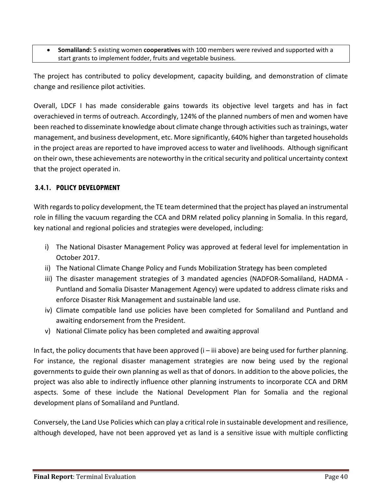• **Somaliland:** 5 existing women **cooperatives** with 100 members were revived and supported with a start grants to implement fodder, fruits and vegetable business.

The project has contributed to policy development, capacity building, and demonstration of climate change and resilience pilot activities.

Overall, LDCF I has made considerable gains towards its objective level targets and has in fact overachieved in terms of outreach. Accordingly, 124% of the planned numbers of men and women have been reached to disseminate knowledge about climate change through activities such as trainings, water management, and business development, etc. More significantly, 640% higher than targeted households in the project areas are reported to have improved access to water and livelihoods. Although significant on their own, these achievements are noteworthy in the critical security and political uncertainty context that the project operated in.

# **3.4.1. POLICY DEVELOPMENT**

With regards to policy development, the TE team determined that the project has played an instrumental role in filling the vacuum regarding the CCA and DRM related policy planning in Somalia. In this regard, key national and regional policies and strategies were developed, including:

- i) The National Disaster Management Policy was approved at federal level for implementation in October 2017.
- ii) The National Climate Change Policy and Funds Mobilization Strategy has been completed
- iii) The disaster management strategies of 3 mandated agencies (NADFOR-Somaliland, HADMA Puntland and Somalia Disaster Management Agency) were updated to address climate risks and enforce Disaster Risk Management and sustainable land use.
- iv) Climate compatible land use policies have been completed for Somaliland and Puntland and awaiting endorsement from the President.
- v) National Climate policy has been completed and awaiting approval

In fact, the policy documents that have been approved  $(i - iii$  above) are being used for further planning. For instance, the regional disaster management strategies are now being used by the regional governments to guide their own planning as well as that of donors. In addition to the above policies, the project was also able to indirectly influence other planning instruments to incorporate CCA and DRM aspects. Some of these include the National Development Plan for Somalia and the regional development plans of Somaliland and Puntland.

Conversely, the Land Use Policies which can play a critical role in sustainable development and resilience, although developed, have not been approved yet as land is a sensitive issue with multiple conflicting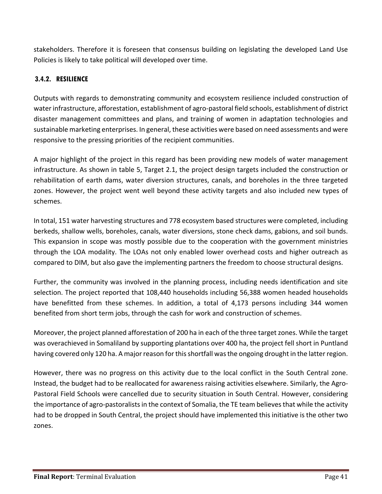stakeholders. Therefore it is foreseen that consensus building on legislating the developed Land Use Policies is likely to take political will developed over time.

# **3.4.2. RESILIENCE**

Outputs with regards to demonstrating community and ecosystem resilience included construction of water infrastructure, afforestation, establishment of agro-pastoral field schools, establishment of district disaster management committees and plans, and training of women in adaptation technologies and sustainable marketing enterprises. In general, these activities were based on need assessments and were responsive to the pressing priorities of the recipient communities.

A major highlight of the project in this regard has been providing new models of water management infrastructure. As shown in table 5, Target 2.1, the project design targets included the construction or rehabilitation of earth dams, water diversion structures, canals, and boreholes in the three targeted zones. However, the project went well beyond these activity targets and also included new types of schemes.

In total, 151 water harvesting structures and 778 ecosystem based structures were completed, including berkeds, shallow wells, boreholes, canals, water diversions, stone check dams, gabions, and soil bunds. This expansion in scope was mostly possible due to the cooperation with the government ministries through the LOA modality. The LOAs not only enabled lower overhead costs and higher outreach as compared to DIM, but also gave the implementing partners the freedom to choose structural designs.

Further, the community was involved in the planning process, including needs identification and site selection. The project reported that 108,440 households including 56,388 women headed households have benefitted from these schemes. In addition, a total of 4,173 persons including 344 women benefited from short term jobs, through the cash for work and construction of schemes.

Moreover, the project planned afforestation of 200 ha in each of the three target zones. While the target was overachieved in Somaliland by supporting plantations over 400 ha, the project fell short in Puntland having covered only 120 ha. A major reason for this shortfall was the ongoing drought in the latter region.

However, there was no progress on this activity due to the local conflict in the South Central zone. Instead, the budget had to be reallocated for awareness raising activities elsewhere. Similarly, the Agro-Pastoral Field Schools were cancelled due to security situation in South Central. However, considering the importance of agro-pastoralists in the context of Somalia, the TE team believes that while the activity had to be dropped in South Central, the project should have implemented this initiative is the other two zones.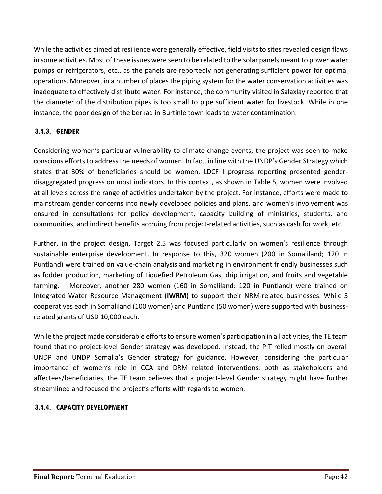While the activities aimed at resilience were generally effective, field visits to sites revealed design flaws in some activities. Most of these issues were seen to be related to the solar panels meant to power water pumps or refrigerators, etc., as the panels are reportedly not generating sufficient power for optimal operations. Moreover, in a number of places the piping system for the water conservation activities was inadequate to effectively distribute water. For instance, the community visited in Salaxlay reported that the diameter of the distribution pipes is too small to pipe sufficient water for livestock. While in one instance, the poor design of the berkad in Burtinle town leads to water contamination.

# **3.4.3. GENDER**

Considering women's particular vulnerability to climate change events, the project was seen to make conscious efforts to address the needs of women. In fact, in line with the UNDP's Gender Strategy which states that 30% of beneficiaries should be women, LDCF I progress reporting presented genderdisaggregated progress on most indicators. In this context, as shown in Table 5, women were involved at all levels across the range of activities undertaken by the project. For instance, efforts were made to mainstream gender concerns into newly developed policies and plans, and women's involvement was ensured in consultations for policy development, capacity building of ministries, students, and communities, and indirect benefits accruing from project-related activities, such as cash for work, etc.

Further, in the project design, Target 2.5 was focused particularly on women's resilience through sustainable enterprise development. In response to this, 320 women (200 in Somaliland; 120 in Puntland) were trained on value-chain analysis and marketing in environment friendly businesses such as fodder production, marketing of Liquefied Petroleum Gas, drip irrigation, and fruits and vegetable farming. Moreover, another 280 women (160 in Somaliland; 120 in Puntland) were trained on Integrated Water Resource Management (**IWRM**) to support their NRM-related businesses. While 5 cooperatives each in Somaliland (100 women) and Puntland (50 women) were supported with businessrelated grants of USD 10,000 each.

While the project made considerable efforts to ensure women's participation in all activities, the TE team found that no project-level Gender strategy was developed. Instead, the PIT relied mostly on overall UNDP and UNDP Somalia's Gender strategy for guidance. However, considering the particular importance of women's role in CCA and DRM related interventions, both as stakeholders and affectees/beneficiaries, the TE team believes that a project-level Gender strategy might have further streamlined and focused the project's efforts with regards to women.

# **3.4.4. CAPACITY DEVELOPMENT**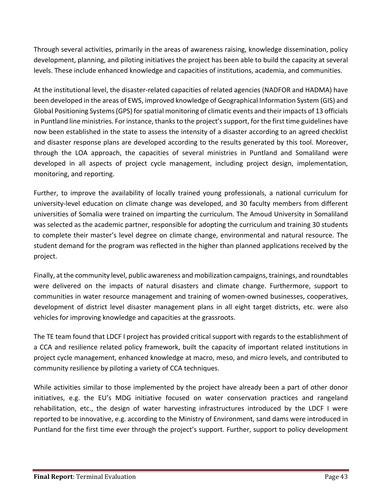Through several activities, primarily in the areas of awareness raising, knowledge dissemination, policy development, planning, and piloting initiatives the project has been able to build the capacity at several levels. These include enhanced knowledge and capacities of institutions, academia, and communities.

At the institutional level, the disaster-related capacities of related agencies (NADFOR and HADMA) have been developed in the areas of EWS, improved knowledge of Geographical Information System (GIS) and Global Positioning Systems (GPS) for spatial monitoring of climatic events and their impacts of 13 officials in Puntland line ministries. For instance, thanks to the project's support, for the first time guidelines have now been established in the state to assess the intensity of a disaster according to an agreed checklist and disaster response plans are developed according to the results generated by this tool. Moreover, through the LOA approach, the capacities of several ministries in Puntland and Somaliland were developed in all aspects of project cycle management, including project design, implementation, monitoring, and reporting.

Further, to improve the availability of locally trained young professionals, a national curriculum for university-level education on climate change was developed, and 30 faculty members from different universities of Somalia were trained on imparting the curriculum. The Amoud University in Somaliland was selected as the academic partner, responsible for adopting the curriculum and training 30 students to complete their master's level degree on climate change, environmental and natural resource. The student demand for the program was reflected in the higher than planned applications received by the project.

Finally, at the community level, public awareness and mobilization campaigns, trainings, and roundtables were delivered on the impacts of natural disasters and climate change. Furthermore, support to communities in water resource management and training of women-owned businesses, cooperatives, development of district level disaster management plans in all eight target districts, etc. were also vehicles for improving knowledge and capacities at the grassroots.

The TE team found that LDCF I project has provided critical support with regards to the establishment of a CCA and resilience related policy framework, built the capacity of important related institutions in project cycle management, enhanced knowledge at macro, meso, and micro levels, and contributed to community resilience by piloting a variety of CCA techniques.

While activities similar to those implemented by the project have already been a part of other donor initiatives, e.g. the EU's MDG initiative focused on water conservation practices and rangeland rehabilitation, etc., the design of water harvesting infrastructures introduced by the LDCF I were reported to be innovative, e.g. according to the Ministry of Environment, sand dams were introduced in Puntland for the first time ever through the project's support. Further, support to policy development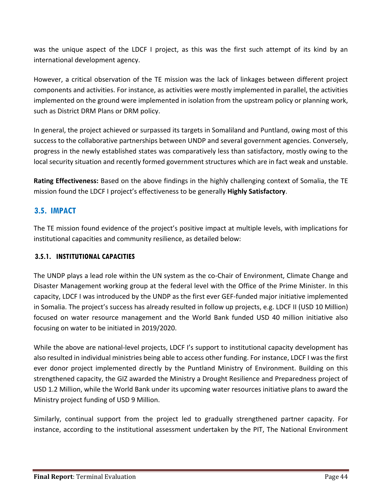was the unique aspect of the LDCF I project, as this was the first such attempt of its kind by an international development agency.

However, a critical observation of the TE mission was the lack of linkages between different project components and activities. For instance, as activities were mostly implemented in parallel, the activities implemented on the ground were implemented in isolation from the upstream policy or planning work, such as District DRM Plans or DRM policy.

In general, the project achieved or surpassed its targets in Somaliland and Puntland, owing most of this success to the collaborative partnerships between UNDP and several government agencies. Conversely, progress in the newly established states was comparatively less than satisfactory, mostly owing to the local security situation and recently formed government structures which are in fact weak and unstable.

**Rating Effectiveness:** Based on the above findings in the highly challenging context of Somalia, the TE mission found the LDCF I project's effectiveness to be generally **Highly Satisfactory**.

# **3.5. IMPACT**

The TE mission found evidence of the project's positive impact at multiple levels, with implications for institutional capacities and community resilience, as detailed below:

# **3.5.1. INSTITUTIONAL CAPACITIES**

The UNDP plays a lead role within the UN system as the co-Chair of Environment, Climate Change and Disaster Management working group at the federal level with the Office of the Prime Minister. In this capacity, LDCF I was introduced by the UNDP as the first ever GEF-funded major initiative implemented in Somalia. The project's success has already resulted in follow up projects, e.g. LDCF II (USD 10 Million) focused on water resource management and the World Bank funded USD 40 million initiative also focusing on water to be initiated in 2019/2020.

While the above are national-level projects, LDCF I's support to institutional capacity development has also resulted in individual ministries being able to access other funding. For instance, LDCF I was the first ever donor project implemented directly by the Puntland Ministry of Environment. Building on this strengthened capacity, the GIZ awarded the Ministry a Drought Resilience and Preparedness project of USD 1.2 Million, while the World Bank under its upcoming water resources initiative plans to award the Ministry project funding of USD 9 Million.

Similarly, continual support from the project led to gradually strengthened partner capacity. For instance, according to the institutional assessment undertaken by the PIT, The National Environment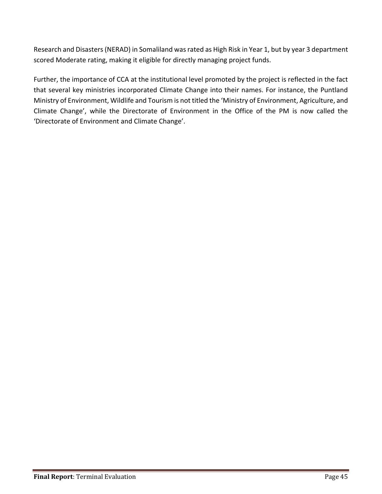Research and Disasters (NERAD) in Somaliland was rated as High Risk in Year 1, but by year 3 department scored Moderate rating, making it eligible for directly managing project funds.

Further, the importance of CCA at the institutional level promoted by the project is reflected in the fact that several key ministries incorporated Climate Change into their names. For instance, the Puntland Ministry of Environment, Wildlife and Tourism is not titled the 'Ministry of Environment, Agriculture, and Climate Change', while the Directorate of Environment in the Office of the PM is now called the 'Directorate of Environment and Climate Change'.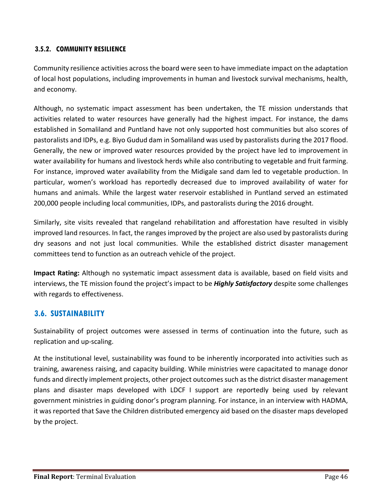# **3.5.2. COMMUNITY RESILIENCE**

Community resilience activities across the board were seen to have immediate impact on the adaptation of local host populations, including improvements in human and livestock survival mechanisms, health, and economy.

Although, no systematic impact assessment has been undertaken, the TE mission understands that activities related to water resources have generally had the highest impact. For instance, the dams established in Somaliland and Puntland have not only supported host communities but also scores of pastoralists and IDPs, e.g. Biyo Gudud dam in Somaliland was used by pastoralists during the 2017 flood. Generally, the new or improved water resources provided by the project have led to improvement in water availability for humans and livestock herds while also contributing to vegetable and fruit farming. For instance, improved water availability from the Midigale sand dam led to vegetable production. In particular, women's workload has reportedly decreased due to improved availability of water for humans and animals. While the largest water reservoir established in Puntland served an estimated 200,000 people including local communities, IDPs, and pastoralists during the 2016 drought.

Similarly, site visits revealed that rangeland rehabilitation and afforestation have resulted in visibly improved land resources. In fact, the ranges improved by the project are also used by pastoralists during dry seasons and not just local communities. While the established district disaster management committees tend to function as an outreach vehicle of the project.

**Impact Rating:** Although no systematic impact assessment data is available, based on field visits and interviews, the TE mission found the project's impact to be *Highly Satisfactory* despite some challenges with regards to effectiveness.

# **3.6. SUSTAINABILITY**

Sustainability of project outcomes were assessed in terms of continuation into the future, such as replication and up-scaling.

At the institutional level, sustainability was found to be inherently incorporated into activities such as training, awareness raising, and capacity building. While ministries were capacitated to manage donor funds and directly implement projects, other project outcomes such as the district disaster management plans and disaster maps developed with LDCF I support are reportedly being used by relevant government ministries in guiding donor's program planning. For instance, in an interview with HADMA, it was reported that Save the Children distributed emergency aid based on the disaster maps developed by the project.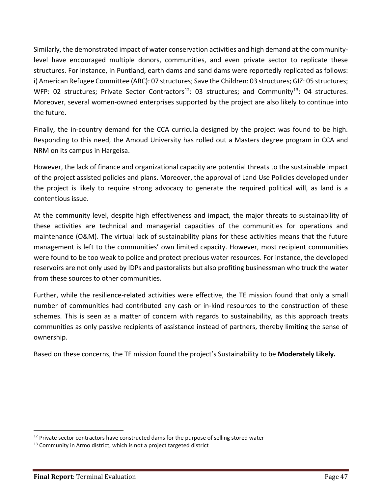Similarly, the demonstrated impact of water conservation activities and high demand at the communitylevel have encouraged multiple donors, communities, and even private sector to replicate these structures. For instance, in Puntland, earth dams and sand dams were reportedly replicated as follows: i) American Refugee Committee (ARC): 07 structures; Save the Children: 03 structures; GIZ: 05 structures; WFP: 02 structures; Private Sector Contractors<sup>12</sup>: 03 structures; and Community<sup>13</sup>: 04 structures. Moreover, several women-owned enterprises supported by the project are also likely to continue into the future.

Finally, the in-country demand for the CCA curricula designed by the project was found to be high. Responding to this need, the Amoud University has rolled out a Masters degree program in CCA and NRM on its campus in Hargeisa.

However, the lack of finance and organizational capacity are potential threats to the sustainable impact of the project assisted policies and plans. Moreover, the approval of Land Use Policies developed under the project is likely to require strong advocacy to generate the required political will, as land is a contentious issue.

At the community level, despite high effectiveness and impact, the major threats to sustainability of these activities are technical and managerial capacities of the communities for operations and maintenance (O&M). The virtual lack of sustainability plans for these activities means that the future management is left to the communities' own limited capacity. However, most recipient communities were found to be too weak to police and protect precious water resources. For instance, the developed reservoirs are not only used by IDPs and pastoralists but also profiting businessman who truck the water from these sources to other communities.

Further, while the resilience-related activities were effective, the TE mission found that only a small number of communities had contributed any cash or in-kind resources to the construction of these schemes. This is seen as a matter of concern with regards to sustainability, as this approach treats communities as only passive recipients of assistance instead of partners, thereby limiting the sense of ownership.

Based on these concerns, the TE mission found the project's Sustainability to be **Moderately Likely.**

 $\overline{\phantom{a}}$ 

 $12$  Private sector contractors have constructed dams for the purpose of selling stored water

 $13$  Community in Armo district, which is not a project targeted district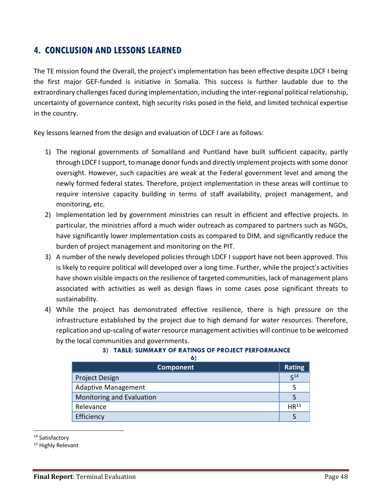# **4. CONCLUSION AND LESSONS LEARNED**

The TE mission found the Overall, the project's implementation has been effective despite LDCF I being the first major GEF-funded is initiative in Somalia. This success is further laudable due to the extraordinary challenges faced during implementation, including the inter-regional political relationship, uncertainty of governance context, high security risks posed in the field, and limited technical expertise in the country.

Key lessons learned from the design and evaluation of LDCF I are as follows:

- 1) The regional governments of Somaliland and Puntland have built sufficient capacity, partly through LDCF I support, to manage donor funds and directly implement projects with some donor oversight. However, such capacities are weak at the Federal government level and among the newly formed federal states. Therefore, project implementation in these areas will continue to require intensive capacity building in terms of staff availability, project management, and monitoring, etc.
- 2) Implementation led by government ministries can result in efficient and effective projects. In particular, the ministries afford a much wider outreach as compared to partners such as NGOs, have significantly lower implementation costs as compared to DIM, and significantly reduce the burden of project management and monitoring on the PIT.
- 3) A number of the newly developed policies through LDCF I support have not been approved. This is likely to require political will developed over a long time. Further, while the project's activities have shown visible impacts on the resilience of targeted communities, lack of management plans associated with activities as well as design flaws in some cases pose significant threats to sustainability.
- 4) While the project has demonstrated effective resilience, there is high pressure on the infrastructure established by the project due to high demand for water resources. Therefore, replication and up-scaling of water resource management activities will continue to be welcomed by the local communities and governments.

#### **5) TABLE: SUMMARY OF RATINGS OF PROJECT PERFORMANCE**

| × |
|---|
|   |

| <b>Component</b>           | <b>Rating</b>    |
|----------------------------|------------------|
| <b>Project Design</b>      | C <sub>14</sub>  |
| <b>Adaptive Management</b> |                  |
| Monitoring and Evaluation  |                  |
| Relevance                  | HR <sup>15</sup> |
| Efficiency                 |                  |

<sup>14</sup> Satisfactory

 $\overline{\phantom{a}}$ 

<sup>15</sup> Highly Relevant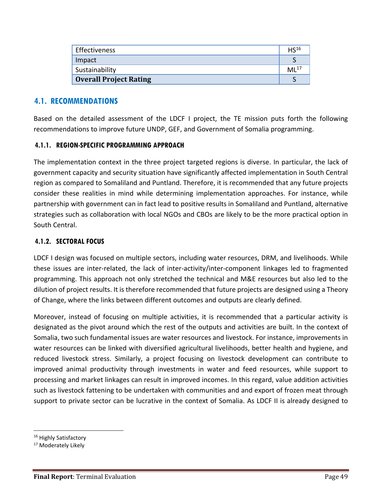| Effectiveness                 | HS <sup>16</sup> |
|-------------------------------|------------------|
| Impact                        |                  |
| Sustainability                | $ML^{17}$        |
| <b>Overall Project Rating</b> |                  |

# **4.1. RECOMMENDATIONS**

Based on the detailed assessment of the LDCF I project, the TE mission puts forth the following recommendations to improve future UNDP, GEF, and Government of Somalia programming.

# **4.1.1. REGION-SPECIFIC PROGRAMMING APPROACH**

The implementation context in the three project targeted regions is diverse. In particular, the lack of government capacity and security situation have significantly affected implementation in South Central region as compared to Somaliland and Puntland. Therefore, it is recommended that any future projects consider these realities in mind while determining implementation approaches. For instance, while partnership with government can in fact lead to positive results in Somaliland and Puntland, alternative strategies such as collaboration with local NGOs and CBOs are likely to be the more practical option in South Central.

# **4.1.2. SECTORAL FOCUS**

LDCF I design was focused on multiple sectors, including water resources, DRM, and livelihoods. While these issues are inter-related, the lack of inter-activity/inter-component linkages led to fragmented programming. This approach not only stretched the technical and M&E resources but also led to the dilution of project results. It is therefore recommended that future projects are designed using a Theory of Change, where the links between different outcomes and outputs are clearly defined.

Moreover, instead of focusing on multiple activities, it is recommended that a particular activity is designated as the pivot around which the rest of the outputs and activities are built. In the context of Somalia, two such fundamental issues are water resources and livestock. For instance, improvements in water resources can be linked with diversified agricultural livelihoods, better health and hygiene, and reduced livestock stress. Similarly, a project focusing on livestock development can contribute to improved animal productivity through investments in water and feed resources, while support to processing and market linkages can result in improved incomes. In this regard, value addition activities such as livestock fattening to be undertaken with communities and and export of frozen meat through support to private sector can be lucrative in the context of Somalia. As LDCF II is already designed to

 $\overline{\phantom{a}}$ 

<sup>&</sup>lt;sup>16</sup> Highly Satisfactory

<sup>&</sup>lt;sup>17</sup> Moderately Likely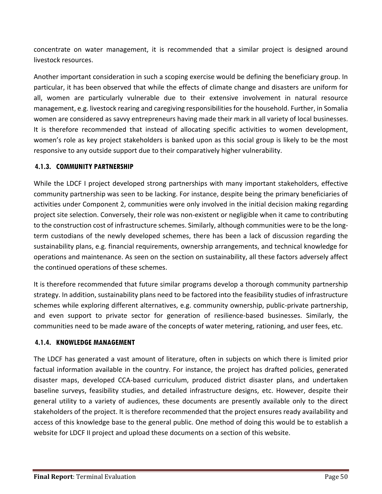concentrate on water management, it is recommended that a similar project is designed around livestock resources.

Another important consideration in such a scoping exercise would be defining the beneficiary group. In particular, it has been observed that while the effects of climate change and disasters are uniform for all, women are particularly vulnerable due to their extensive involvement in natural resource management, e.g. livestock rearing and caregiving responsibilities for the household. Further, in Somalia women are considered as savvy entrepreneurs having made their mark in all variety of local businesses. It is therefore recommended that instead of allocating specific activities to women development, women's role as key project stakeholders is banked upon as this social group is likely to be the most responsive to any outside support due to their comparatively higher vulnerability.

# **4.1.3. COMMUNITY PARTNERSHIP**

While the LDCF I project developed strong partnerships with many important stakeholders, effective community partnership was seen to be lacking. For instance, despite being the primary beneficiaries of activities under Component 2, communities were only involved in the initial decision making regarding project site selection. Conversely, their role was non-existent or negligible when it came to contributing to the construction cost of infrastructure schemes. Similarly, although communities were to be the longterm custodians of the newly developed schemes, there has been a lack of discussion regarding the sustainability plans, e.g. financial requirements, ownership arrangements, and technical knowledge for operations and maintenance. As seen on the section on sustainability, all these factors adversely affect the continued operations of these schemes.

It is therefore recommended that future similar programs develop a thorough community partnership strategy. In addition, sustainability plans need to be factored into the feasibility studies of infrastructure schemes while exploring different alternatives, e.g. community ownership, public-private partnership, and even support to private sector for generation of resilience-based businesses. Similarly, the communities need to be made aware of the concepts of water metering, rationing, and user fees, etc.

## **4.1.4. KNOWLEDGE MANAGEMENT**

The LDCF has generated a vast amount of literature, often in subjects on which there is limited prior factual information available in the country. For instance, the project has drafted policies, generated disaster maps, developed CCA-based curriculum, produced district disaster plans, and undertaken baseline surveys, feasibility studies, and detailed infrastructure designs, etc. However, despite their general utility to a variety of audiences, these documents are presently available only to the direct stakeholders of the project. It is therefore recommended that the project ensures ready availability and access of this knowledge base to the general public. One method of doing this would be to establish a website for LDCF II project and upload these documents on a section of this website.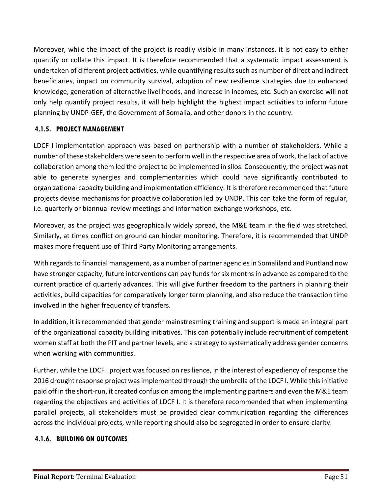Moreover, while the impact of the project is readily visible in many instances, it is not easy to either quantify or collate this impact. It is therefore recommended that a systematic impact assessment is undertaken of different project activities, while quantifying results such as number of direct and indirect beneficiaries, impact on community survival, adoption of new resilience strategies due to enhanced knowledge, generation of alternative livelihoods, and increase in incomes, etc. Such an exercise will not only help quantify project results, it will help highlight the highest impact activities to inform future planning by UNDP-GEF, the Government of Somalia, and other donors in the country.

# **4.1.5. PROJECT MANAGEMENT**

LDCF I implementation approach was based on partnership with a number of stakeholders. While a number of these stakeholders were seen to perform well in the respective area of work, the lack of active collaboration among them led the project to be implemented in silos. Consequently, the project was not able to generate synergies and complementarities which could have significantly contributed to organizational capacity building and implementation efficiency. It is therefore recommended that future projects devise mechanisms for proactive collaboration led by UNDP. This can take the form of regular, i.e. quarterly or biannual review meetings and information exchange workshops, etc.

Moreover, as the project was geographically widely spread, the M&E team in the field was stretched. Similarly, at times conflict on ground can hinder monitoring. Therefore, it is recommended that UNDP makes more frequent use of Third Party Monitoring arrangements.

With regards to financial management, as a number of partner agencies in Somaliland and Puntland now have stronger capacity, future interventions can pay funds for six months in advance as compared to the current practice of quarterly advances. This will give further freedom to the partners in planning their activities, build capacities for comparatively longer term planning, and also reduce the transaction time involved in the higher frequency of transfers.

In addition, it is recommended that gender mainstreaming training and support is made an integral part of the organizational capacity building initiatives. This can potentially include recruitment of competent women staff at both the PIT and partner levels, and a strategy to systematically address gender concerns when working with communities.

Further, while the LDCF I project was focused on resilience, in the interest of expediency of response the 2016 drought response project was implemented through the umbrella of the LDCF I. While this initiative paid off in the short-run, it created confusion among the implementing partners and even the M&E team regarding the objectives and activities of LDCF I. It is therefore recommended that when implementing parallel projects, all stakeholders must be provided clear communication regarding the differences across the individual projects, while reporting should also be segregated in order to ensure clarity.

# **4.1.6. BUILDING ON OUTCOMES**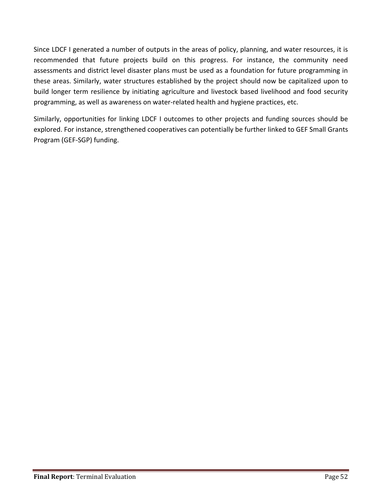Since LDCF I generated a number of outputs in the areas of policy, planning, and water resources, it is recommended that future projects build on this progress. For instance, the community need assessments and district level disaster plans must be used as a foundation for future programming in these areas. Similarly, water structures established by the project should now be capitalized upon to build longer term resilience by initiating agriculture and livestock based livelihood and food security programming, as well as awareness on water-related health and hygiene practices, etc.

Similarly, opportunities for linking LDCF I outcomes to other projects and funding sources should be explored. For instance, strengthened cooperatives can potentially be further linked to GEF Small Grants Program (GEF-SGP) funding.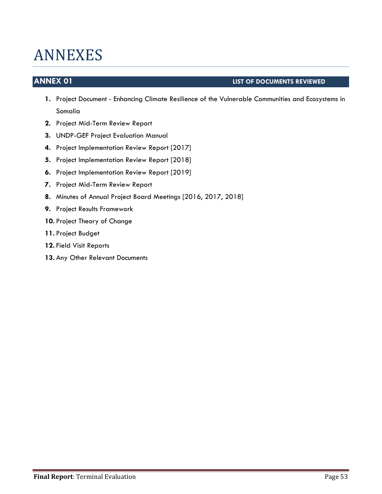# ANNEXES

# **ANNEX 01 LIST OF DOCUMENTS REVIEWED**

- **1.** Project Document Enhancing Climate Resilience of the Vulnerable Communities and Ecosystems in Somalia
- **2.** Project Mid-Term Review Report
- **3.** UNDP-GEF Project Evaluation Manual
- **4.** Project Implementation Review Report [2017]
- **5.** Project Implementation Review Report [2018]
- **6.** Project Implementation Review Report [2019]
- **7.** Project Mid-Term Review Report
- **8.** Minutes of Annual Project Board Meetings [2016, 2017, 2018]
- **9.** Project Results Framework
- **10.** Project Theory of Change
- **11.** Project Budget
- **12.** Field Visit Reports
- **13.** Any Other Relevant Documents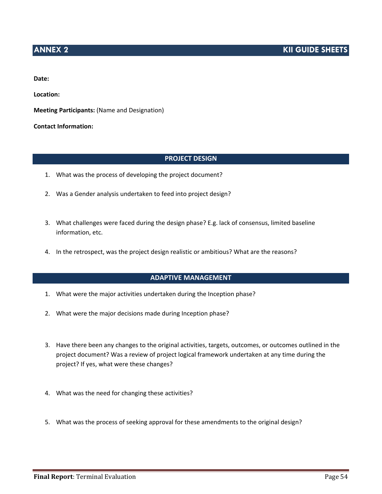# **ANNEX 2 KII GUIDE SHEETS**

**Date:**

**Location:**

**Meeting Participants:** (Name and Designation)

**Contact Information:**

#### **PROJECT DESIGN**

- 1. What was the process of developing the project document?
- 2. Was a Gender analysis undertaken to feed into project design?
- 3. What challenges were faced during the design phase? E.g. lack of consensus, limited baseline information, etc.
- 4. In the retrospect, was the project design realistic or ambitious? What are the reasons?

### **ADAPTIVE MANAGEMENT**

- 1. What were the major activities undertaken during the Inception phase?
- 2. What were the major decisions made during Inception phase?
- 3. Have there been any changes to the original activities, targets, outcomes, or outcomes outlined in the project document? Was a review of project logical framework undertaken at any time during the project? If yes, what were these changes?
- 4. What was the need for changing these activities?
- 5. What was the process of seeking approval for these amendments to the original design?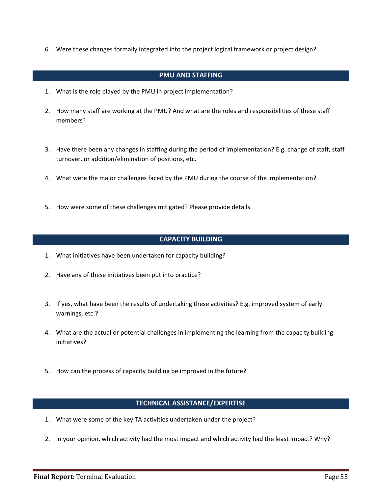6. Were these changes formally integrated into the project logical framework or project design?

### **PMU AND STAFFING**

- 1. What is the role played by the PMU in project implementation?
- 2. How many staff are working at the PMU? And what are the roles and responsibilities of these staff members?
- 3. Have there been any changes in staffing during the period of implementation? E.g. change of staff, staff turnover, or addition/elimination of positions, etc.
- 4. What were the major challenges faced by the PMU during the course of the implementation?
- 5. How were some of these challenges mitigated? Please provide details.

#### **CAPACITY BUILDING**

- 1. What initiatives have been undertaken for capacity building?
- 2. Have any of these initiatives been put into practice?
- 3. If yes, what have been the results of undertaking these activities? E.g. improved system of early warnings, etc.?
- 4. What are the actual or potential challenges in implementing the learning from the capacity building initiatives?
- 5. How can the process of capacity building be improved in the future?

#### **TECHNICAL ASSISTANCE/EXPERTISE**

- 1. What were some of the key TA activities undertaken under the project?
- 2. In your opinion, which activity had the most impact and which activity had the least impact? Why?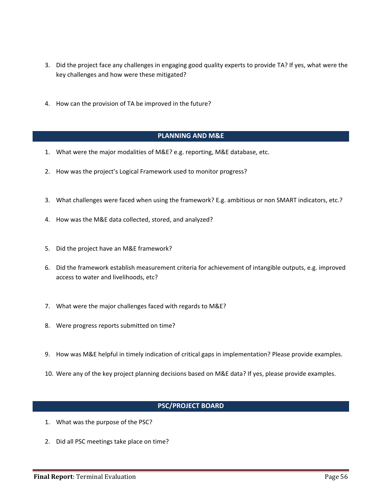- 3. Did the project face any challenges in engaging good quality experts to provide TA? If yes, what were the key challenges and how were these mitigated?
- 4. How can the provision of TA be improved in the future?

#### **PLANNING AND M&E**

- 1. What were the major modalities of M&E? e.g. reporting, M&E database, etc.
- 2. How was the project's Logical Framework used to monitor progress?
- 3. What challenges were faced when using the framework? E.g. ambitious or non SMART indicators, etc.?
- 4. How was the M&E data collected, stored, and analyzed?
- 5. Did the project have an M&E framework?
- 6. Did the framework establish measurement criteria for achievement of intangible outputs, e.g. improved access to water and livelihoods, etc?
- 7. What were the major challenges faced with regards to M&E?
- 8. Were progress reports submitted on time?
- 9. How was M&E helpful in timely indication of critical gaps in implementation? Please provide examples.
- 10. Were any of the key project planning decisions based on M&E data? If yes, please provide examples.

#### **PSC/PROJECT BOARD**

- 1. What was the purpose of the PSC?
- 2. Did all PSC meetings take place on time?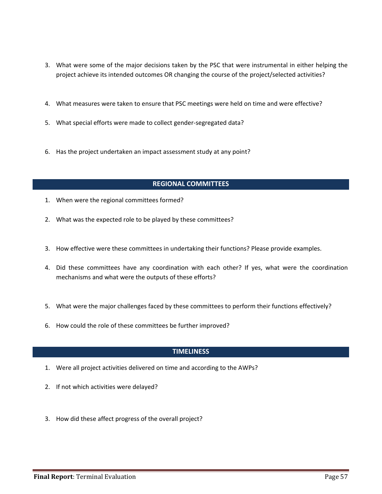- 3. What were some of the major decisions taken by the PSC that were instrumental in either helping the project achieve its intended outcomes OR changing the course of the project/selected activities?
- 4. What measures were taken to ensure that PSC meetings were held on time and were effective?
- 5. What special efforts were made to collect gender-segregated data?
- 6. Has the project undertaken an impact assessment study at any point?

### **REGIONAL COMMITTEES**

- 1. When were the regional committees formed?
- 2. What was the expected role to be played by these committees?
- 3. How effective were these committees in undertaking their functions? Please provide examples.
- 4. Did these committees have any coordination with each other? If yes, what were the coordination mechanisms and what were the outputs of these efforts?
- 5. What were the major challenges faced by these committees to perform their functions effectively?
- 6. How could the role of these committees be further improved?

#### **TIMELINESS**

- 1. Were all project activities delivered on time and according to the AWPs?
- 2. If not which activities were delayed?
- 3. How did these affect progress of the overall project?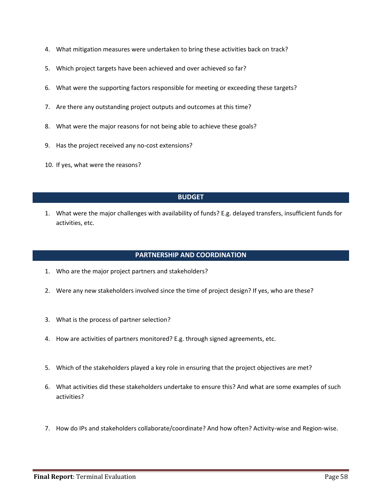- 4. What mitigation measures were undertaken to bring these activities back on track?
- 5. Which project targets have been achieved and over achieved so far?
- 6. What were the supporting factors responsible for meeting or exceeding these targets?
- 7. Are there any outstanding project outputs and outcomes at this time?
- 8. What were the major reasons for not being able to achieve these goals?
- 9. Has the project received any no-cost extensions?
- 10. If yes, what were the reasons?

#### **BUDGET**

1. What were the major challenges with availability of funds? E.g. delayed transfers, insufficient funds for activities, etc.

#### **PARTNERSHIP AND COORDINATION**

- 1. Who are the major project partners and stakeholders?
- 2. Were any new stakeholders involved since the time of project design? If yes, who are these?
- 3. What is the process of partner selection?
- 4. How are activities of partners monitored? E.g. through signed agreements, etc.
- 5. Which of the stakeholders played a key role in ensuring that the project objectives are met?
- 6. What activities did these stakeholders undertake to ensure this? And what are some examples of such activities?
- 7. How do IPs and stakeholders collaborate/coordinate? And how often? Activity-wise and Region-wise.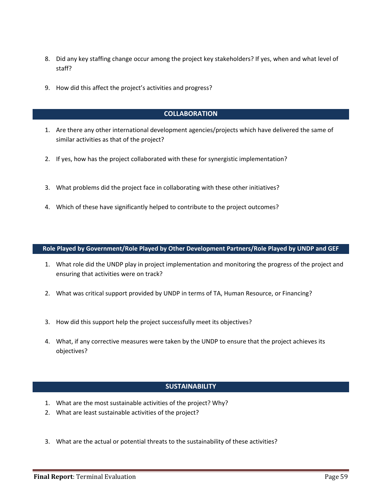- 8. Did any key staffing change occur among the project key stakeholders? If yes, when and what level of staff?
- 9. How did this affect the project's activities and progress?

#### **COLLABORATION**

- 1. Are there any other international development agencies/projects which have delivered the same of similar activities as that of the project?
- 2. If yes, how has the project collaborated with these for synergistic implementation?
- 3. What problems did the project face in collaborating with these other initiatives?
- 4. Which of these have significantly helped to contribute to the project outcomes?

#### **Role Played by Government/Role Played by Other Development Partners/Role Played by UNDP and GEF**

- 1. What role did the UNDP play in project implementation and monitoring the progress of the project and ensuring that activities were on track?
- 2. What was critical support provided by UNDP in terms of TA, Human Resource, or Financing?
- 3. How did this support help the project successfully meet its objectives?
- 4. What, if any corrective measures were taken by the UNDP to ensure that the project achieves its objectives?

#### **SUSTAINABILITY**

- 1. What are the most sustainable activities of the project? Why?
- 2. What are least sustainable activities of the project?
- 3. What are the actual or potential threats to the sustainability of these activities?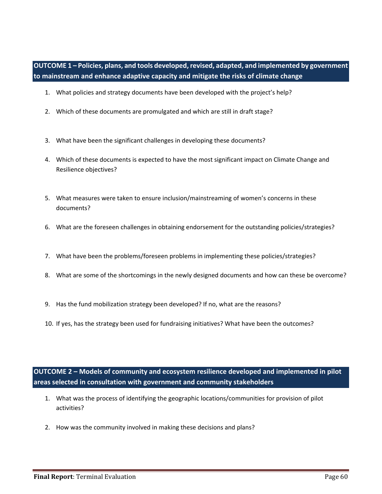**OUTCOME 1 – Policies, plans, and tools developed, revised, adapted, and implemented by government to mainstream and enhance adaptive capacity and mitigate the risks of climate change**

- 1. What policies and strategy documents have been developed with the project's help?
- 2. Which of these documents are promulgated and which are still in draft stage?
- 3. What have been the significant challenges in developing these documents?
- 4. Which of these documents is expected to have the most significant impact on Climate Change and Resilience objectives?
- 5. What measures were taken to ensure inclusion/mainstreaming of women's concerns in these documents?
- 6. What are the foreseen challenges in obtaining endorsement for the outstanding policies/strategies?
- 7. What have been the problems/foreseen problems in implementing these policies/strategies?
- 8. What are some of the shortcomings in the newly designed documents and how can these be overcome?
- 9. Has the fund mobilization strategy been developed? If no, what are the reasons?
- 10. If yes, has the strategy been used for fundraising initiatives? What have been the outcomes?

**OUTCOME 2 – Models of community and ecosystem resilience developed and implemented in pilot areas selected in consultation with government and community stakeholders**

- 1. What was the process of identifying the geographic locations/communities for provision of pilot activities?
- 2. How was the community involved in making these decisions and plans?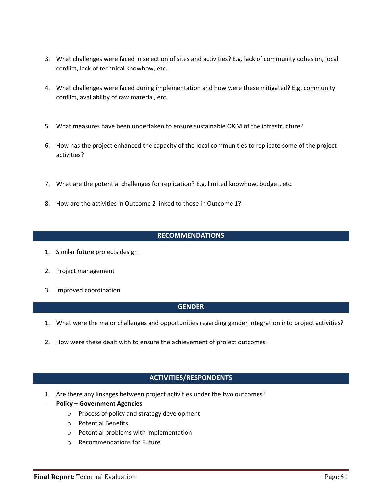- 3. What challenges were faced in selection of sites and activities? E.g. lack of community cohesion, local conflict, lack of technical knowhow, etc.
- 4. What challenges were faced during implementation and how were these mitigated? E.g. community conflict, availability of raw material, etc.
- 5. What measures have been undertaken to ensure sustainable O&M of the infrastructure?
- 6. How has the project enhanced the capacity of the local communities to replicate some of the project activities?
- 7. What are the potential challenges for replication? E.g. limited knowhow, budget, etc.
- 8. How are the activities in Outcome 2 linked to those in Outcome 1?

#### **RECOMMENDATIONS**

- 1. Similar future projects design
- 2. Project management
- 3. Improved coordination

#### **GENDER**

- 1. What were the major challenges and opportunities regarding gender integration into project activities?
- 2. How were these dealt with to ensure the achievement of project outcomes?

#### **ACTIVITIES/RESPONDENTS**

- 1. Are there any linkages between project activities under the two outcomes?
- **Policy – Government Agencies**
	- o Process of policy and strategy development
	- o Potential Benefits
	- o Potential problems with implementation
	- o Recommendations for Future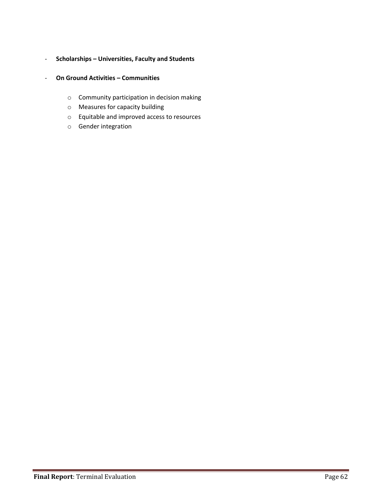# - **Scholarships – Universities, Faculty and Students**

- **On Ground Activities – Communities**
	- o Community participation in decision making
	- o Measures for capacity building
	- o Equitable and improved access to resources
	- o Gender integration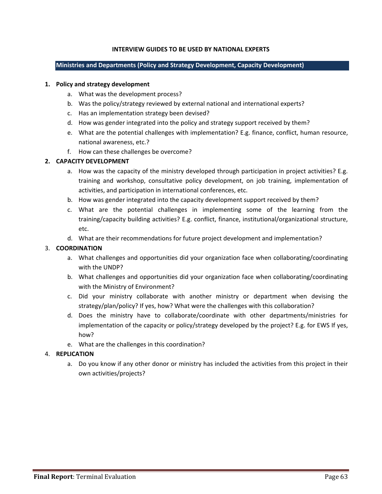#### **INTERVIEW GUIDES TO BE USED BY NATIONAL EXPERTS**

#### **Ministries and Departments (Policy and Strategy Development, Capacity Development)**

#### **1. Policy and strategy development**

- a. What was the development process?
- b. Was the policy/strategy reviewed by external national and international experts?
- c. Has an implementation strategy been devised?
- d. How was gender integrated into the policy and strategy support received by them?
- e. What are the potential challenges with implementation? E.g. finance, conflict, human resource, national awareness, etc.?
- f. How can these challenges be overcome?

#### **2. CAPACITY DEVELOPMENT**

- a. How was the capacity of the ministry developed through participation in project activities? E.g. training and workshop, consultative policy development, on job training, implementation of activities, and participation in international conferences, etc.
- b. How was gender integrated into the capacity development support received by them?
- c. What are the potential challenges in implementing some of the learning from the training/capacity building activities? E.g. conflict, finance, institutional/organizational structure, etc.
- d. What are their recommendations for future project development and implementation?

#### 3. **COORDINATION**

- a. What challenges and opportunities did your organization face when collaborating/coordinating with the UNDP?
- b. What challenges and opportunities did your organization face when collaborating/coordinating with the Ministry of Environment?
- c. Did your ministry collaborate with another ministry or department when devising the strategy/plan/policy? If yes, how? What were the challenges with this collaboration?
- d. Does the ministry have to collaborate/coordinate with other departments/ministries for implementation of the capacity or policy/strategy developed by the project? E.g. for EWS If yes, how?
- e. What are the challenges in this coordination?

#### 4. **REPLICATION**

a. Do you know if any other donor or ministry has included the activities from this project in their own activities/projects?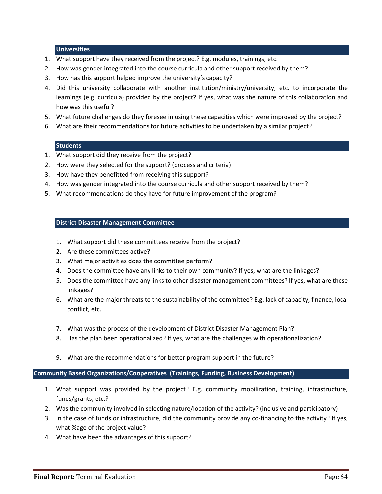#### **Universities**

- 1. What support have they received from the project? E.g. modules, trainings, etc.
- 2. How was gender integrated into the course curricula and other support received by them?
- 3. How has this support helped improve the university's capacity?
- 4. Did this university collaborate with another institution/ministry/university, etc. to incorporate the learnings (e.g. curricula) provided by the project? If yes, what was the nature of this collaboration and how was this useful?
- 5. What future challenges do they foresee in using these capacities which were improved by the project?
- 6. What are their recommendations for future activities to be undertaken by a similar project?

#### **Students**

- 1. What support did they receive from the project?
- 2. How were they selected for the support? (process and criteria)
- 3. How have they benefitted from receiving this support?
- 4. How was gender integrated into the course curricula and other support received by them?
- 5. What recommendations do they have for future improvement of the program?

#### **District Disaster Management Committee**

- 1. What support did these committees receive from the project?
- 2. Are these committees active?
- 3. What major activities does the committee perform?
- 4. Does the committee have any links to their own community? If yes, what are the linkages?
- 5. Does the committee have any links to other disaster management committees? If yes, what are these linkages?
- 6. What are the major threats to the sustainability of the committee? E.g. lack of capacity, finance, local conflict, etc.
- 7. What was the process of the development of District Disaster Management Plan?
- 8. Has the plan been operationalized? If yes, what are the challenges with operationalization?
- 9. What are the recommendations for better program support in the future?

#### **Community Based Organizations/Cooperatives (Trainings, Funding, Business Development)**

- 1. What support was provided by the project? E.g. community mobilization, training, infrastructure, funds/grants, etc.?
- 2. Was the community involved in selecting nature/location of the activity? (inclusive and participatory)
- 3. In the case of funds or infrastructure, did the community provide any co-financing to the activity? If yes, what %age of the project value?
- 4. What have been the advantages of this support?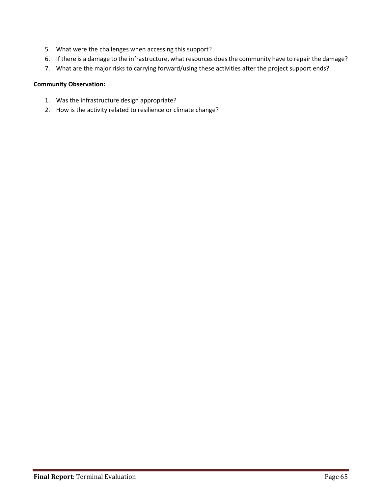- 5. What were the challenges when accessing this support?
- 6. If there is a damage to the infrastructure, what resources does the community have to repair the damage?
- 7. What are the major risks to carrying forward/using these activities after the project support ends?

#### **Community Observation:**

- 1. Was the infrastructure design appropriate?
- 2. How is the activity related to resilience or climate change?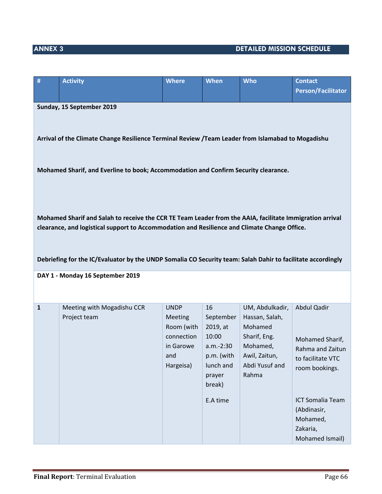# **ANNEX 3 DETAILED MISSION SCHEDULE**

| #                                                                                                                                                                                                                                                                                                                                                                                                              | <b>Activity</b>                            | <b>Where</b>                                                                        | <b>When</b>                                                                                      | <b>Who</b>                                                                                                           | <b>Contact</b><br><b>Person/Facilitator</b>                                               |  |
|----------------------------------------------------------------------------------------------------------------------------------------------------------------------------------------------------------------------------------------------------------------------------------------------------------------------------------------------------------------------------------------------------------------|--------------------------------------------|-------------------------------------------------------------------------------------|--------------------------------------------------------------------------------------------------|----------------------------------------------------------------------------------------------------------------------|-------------------------------------------------------------------------------------------|--|
|                                                                                                                                                                                                                                                                                                                                                                                                                |                                            |                                                                                     |                                                                                                  |                                                                                                                      |                                                                                           |  |
| Sunday, 15 September 2019<br>Arrival of the Climate Change Resilience Terminal Review /Team Leader from Islamabad to Mogadishu                                                                                                                                                                                                                                                                                 |                                            |                                                                                     |                                                                                                  |                                                                                                                      |                                                                                           |  |
|                                                                                                                                                                                                                                                                                                                                                                                                                |                                            |                                                                                     |                                                                                                  |                                                                                                                      |                                                                                           |  |
| Mohamed Sharif, and Everline to book; Accommodation and Confirm Security clearance.<br>Mohamed Sharif and Salah to receive the CCR TE Team Leader from the AAIA, facilitate Immigration arrival<br>clearance, and logistical support to Accommodation and Resilience and Climate Change Office.<br>Debriefing for the IC/Evaluator by the UNDP Somalia CO Security team: Salah Dahir to facilitate accordingly |                                            |                                                                                     |                                                                                                  |                                                                                                                      |                                                                                           |  |
|                                                                                                                                                                                                                                                                                                                                                                                                                | DAY 1 - Monday 16 September 2019           |                                                                                     |                                                                                                  |                                                                                                                      |                                                                                           |  |
| $\mathbf{1}$                                                                                                                                                                                                                                                                                                                                                                                                   | Meeting with Mogadishu CCR<br>Project team | <b>UNDP</b><br>Meeting<br>Room (with<br>connection<br>in Garowe<br>and<br>Hargeisa) | 16<br>September<br>2019, at<br>10:00<br>a.m.-2:30<br>p.m. (with<br>lunch and<br>prayer<br>break) | UM, Abdulkadir,<br>Hassan, Salah,<br>Mohamed<br>Sharif, Eng.<br>Mohamed,<br>Awil, Zaitun,<br>Abdi Yusuf and<br>Rahma | Abdul Qadir<br>Mohamed Sharif,<br>Rahma and Zaitun<br>to facilitate VTC<br>room bookings. |  |
|                                                                                                                                                                                                                                                                                                                                                                                                                |                                            |                                                                                     | E.A time                                                                                         |                                                                                                                      | <b>ICT Somalia Team</b><br>(Abdinasir,<br>Mohamed,<br>Zakaria,<br>Mohamed Ismail)         |  |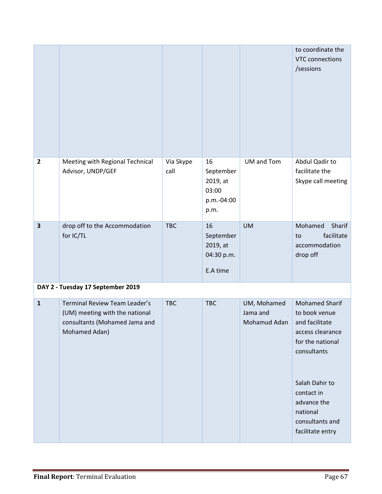|                         |                                                                                                                   |                   |                                                            |                                         | to coordinate the<br><b>VTC</b> connections<br>/sessions                                                        |
|-------------------------|-------------------------------------------------------------------------------------------------------------------|-------------------|------------------------------------------------------------|-----------------------------------------|-----------------------------------------------------------------------------------------------------------------|
| $\overline{2}$          | Meeting with Regional Technical<br>Advisor, UNDP/GEF                                                              | Via Skype<br>call | 16<br>September<br>2019, at<br>03:00<br>p.m.-04:00<br>p.m. | UM and Tom                              | Abdul Qadir to<br>facilitate the<br>Skype call meeting                                                          |
| $\overline{\mathbf{3}}$ | drop off to the Accommodation<br>for IC/TL                                                                        | <b>TBC</b>        | 16<br>September<br>2019, at<br>04:30 p.m.<br>E.A time      | <b>UM</b>                               | Sharif<br>Mohamed<br>facilitate<br>to<br>accommodation<br>drop off                                              |
|                         | DAY 2 - Tuesday 17 September 2019                                                                                 |                   |                                                            |                                         |                                                                                                                 |
| $\mathbf{1}$            | Terminal Review Team Leader's<br>(UM) meeting with the national<br>consultants (Mohamed Jama and<br>Mohamed Adan) | <b>TBC</b>        | <b>TBC</b>                                                 | UM, Mohamed<br>Jama and<br>Mohamud Adan | <b>Mohamed Sharif</b><br>to book venue<br>and facilitate<br>access clearance<br>for the national<br>consultants |
|                         |                                                                                                                   |                   |                                                            |                                         | Salah Dahir to<br>contact in<br>advance the<br>national<br>consultants and<br>facilitate entry                  |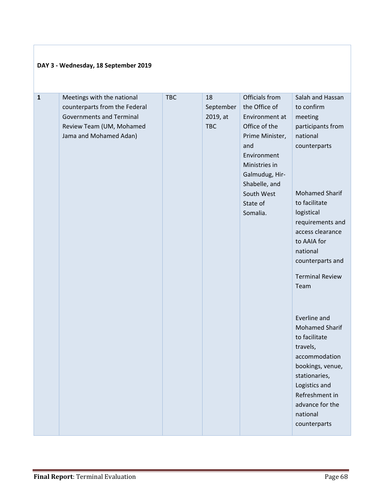| DAY 3 - Wednesday, 18 September 2019 |                                                                                                                                                      |            |                                           |                                                                                                                                                                                                       |                                                                                                                                                                                                                                                                                                                                                                                                                                                                                           |
|--------------------------------------|------------------------------------------------------------------------------------------------------------------------------------------------------|------------|-------------------------------------------|-------------------------------------------------------------------------------------------------------------------------------------------------------------------------------------------------------|-------------------------------------------------------------------------------------------------------------------------------------------------------------------------------------------------------------------------------------------------------------------------------------------------------------------------------------------------------------------------------------------------------------------------------------------------------------------------------------------|
| $\mathbf{1}$                         | Meetings with the national<br>counterparts from the Federal<br><b>Governments and Terminal</b><br>Review Team (UM, Mohamed<br>Jama and Mohamed Adan) | <b>TBC</b> | 18<br>September<br>2019, at<br><b>TBC</b> | Officials from<br>the Office of<br>Environment at<br>Office of the<br>Prime Minister,<br>and<br>Environment<br>Ministries in<br>Galmudug, Hir-<br>Shabelle, and<br>South West<br>State of<br>Somalia. | Salah and Hassan<br>to confirm<br>meeting<br>participants from<br>national<br>counterparts<br><b>Mohamed Sharif</b><br>to facilitate<br>logistical<br>requirements and<br>access clearance<br>to AAIA for<br>national<br>counterparts and<br><b>Terminal Review</b><br>Team<br>Everline and<br><b>Mohamed Sharif</b><br>to facilitate<br>travels,<br>accommodation<br>bookings, venue,<br>stationaries,<br>Logistics and<br>Refreshment in<br>advance for the<br>national<br>counterparts |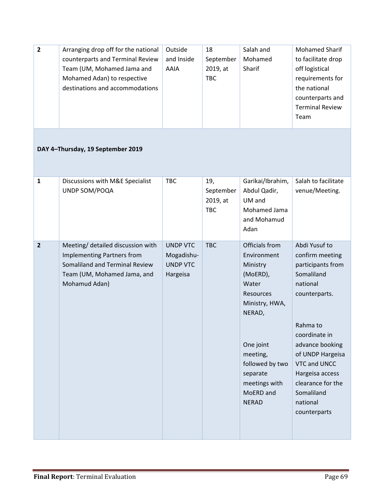| $\overline{2}$          | Arranging drop off for the national<br>counterparts and Terminal Review<br>Team (UM, Mohamed Jama and<br>Mohamed Adan) to respective<br>destinations and accommodations | Outside<br>and Inside<br>AAIA                                | 18<br>September<br>2019, at<br><b>TBC</b>  | Salah and<br>Mohamed<br>Sharif                                                                                                                                                                                       | <b>Mohamed Sharif</b><br>to facilitate drop<br>off logistical<br>requirements for<br>the national<br>counterparts and<br><b>Terminal Review</b><br>Team                                                                                                                |
|-------------------------|-------------------------------------------------------------------------------------------------------------------------------------------------------------------------|--------------------------------------------------------------|--------------------------------------------|----------------------------------------------------------------------------------------------------------------------------------------------------------------------------------------------------------------------|------------------------------------------------------------------------------------------------------------------------------------------------------------------------------------------------------------------------------------------------------------------------|
|                         | DAY 4-Thursday, 19 September 2019                                                                                                                                       |                                                              |                                            |                                                                                                                                                                                                                      |                                                                                                                                                                                                                                                                        |
| $\mathbf{1}$            | Discussions with M&E Specialist<br>UNDP SOM/POQA                                                                                                                        | <b>TBC</b>                                                   | 19,<br>September<br>2019, at<br><b>TBC</b> | Garikai/Ibrahim,<br>Abdul Qadir,<br>UM and<br>Mohamed Jama<br>and Mohamud<br>Adan                                                                                                                                    | Salah to facilitate<br>venue/Meeting.                                                                                                                                                                                                                                  |
| $\overline{\mathbf{2}}$ | Meeting/ detailed discussion with<br><b>Implementing Partners from</b><br>Somaliland and Terminal Review<br>Team (UM, Mohamed Jama, and<br>Mohamud Adan)                | <b>UNDP VTC</b><br>Mogadishu-<br><b>UNDP VTC</b><br>Hargeisa | <b>TBC</b>                                 | Officials from<br>Environment<br>Ministry<br>(MoERD),<br>Water<br><b>Resources</b><br>Ministry, HWA,<br>NERAD,<br>One joint<br>meeting,<br>followed by two<br>separate<br>meetings with<br>MoERD and<br><b>NERAD</b> | Abdi Yusuf to<br>confirm meeting<br>participants from<br>Somaliland<br>national<br>counterparts.<br>Rahma to<br>coordinate in<br>advance booking<br>of UNDP Hargeisa<br>VTC and UNCC<br>Hargeisa access<br>clearance for the<br>Somaliland<br>national<br>counterparts |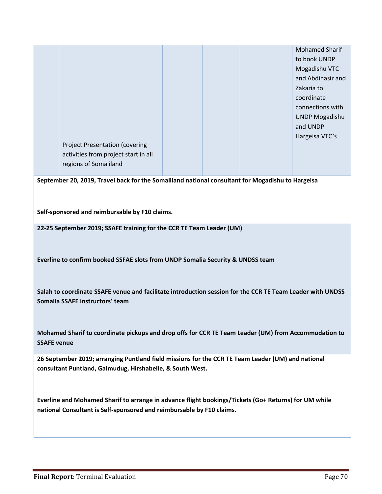Project Presentation (covering activities from project start in all regions of Somaliland Mohamed Sharif to book UNDP Mogadishu VTC and Abdinasir and Zakaria to coordinate connections with UNDP Mogadishu and UNDP Hargeisa VTC`s

**September 20, 2019, Travel back for the Somaliland national consultant for Mogadishu to Hargeisa**

**Self-sponsored and reimbursable by F10 claims.**

**22-25 September 2019; SSAFE training for the CCR TE Team Leader (UM)**

**Everline to confirm booked SSFAE slots from UNDP Somalia Security & UNDSS team**

**Salah to coordinate SSAFE venue and facilitate introduction session for the CCR TE Team Leader with UNDSS Somalia SSAFE instructors' team**

**Mohamed Sharif to coordinate pickups and drop offs for CCR TE Team Leader (UM) from Accommodation to SSAFE venue**

**26 September 2019; arranging Puntland field missions for the CCR TE Team Leader (UM) and national consultant Puntland, Galmudug, Hirshabelle, & South West.**

**Everline and Mohamed Sharif to arrange in advance flight bookings/Tickets (Go+ Returns) for UM while national Consultant is Self-sponsored and reimbursable by F10 claims.**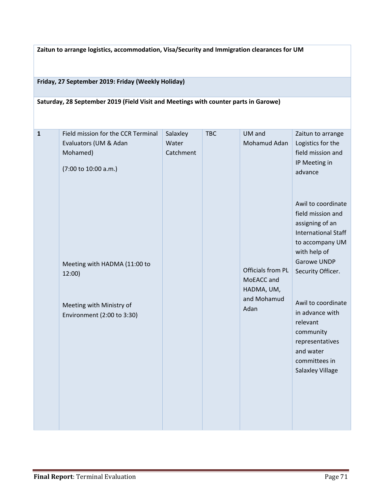**Zaitun to arrange logistics, accommodation, Visa/Security and Immigration clearances for UM**

**Friday, 27 September 2019: Friday (Weekly Holiday)**

**Saturday, 28 September 2019 (Field Visit and Meetings with counter parts in Garowe)**

| $\mathbf{1}$ | Field mission for the CCR Terminal | Salaxley  | <b>TBC</b> | UM and            | Zaitun to arrange          |
|--------------|------------------------------------|-----------|------------|-------------------|----------------------------|
|              | Evaluators (UM & Adan              | Water     |            | Mohamud Adan      | Logistics for the          |
|              | Mohamed)                           | Catchment |            |                   | field mission and          |
|              | (7:00 to 10:00 a.m.)               |           |            |                   | IP Meeting in              |
|              |                                    |           |            |                   | advance                    |
|              |                                    |           |            |                   |                            |
|              |                                    |           |            |                   |                            |
|              |                                    |           |            |                   | Awil to coordinate         |
|              |                                    |           |            |                   | field mission and          |
|              |                                    |           |            |                   | assigning of an            |
|              |                                    |           |            |                   | <b>International Staff</b> |
|              |                                    |           |            |                   | to accompany UM            |
|              |                                    |           |            |                   | with help of               |
|              |                                    |           |            |                   | Garowe UNDP                |
|              | Meeting with HADMA (11:00 to       |           |            | Officials from PL |                            |
|              | 12:00)                             |           |            | MoEACC and        | Security Officer.          |
|              |                                    |           |            | HADMA, UM,        |                            |
|              |                                    |           |            | and Mohamud       |                            |
|              | Meeting with Ministry of           |           |            |                   | Awil to coordinate         |
|              | Environment (2:00 to 3:30)         |           |            | Adan              | in advance with            |
|              |                                    |           |            |                   | relevant                   |
|              |                                    |           |            |                   | community                  |
|              |                                    |           |            |                   | representatives            |
|              |                                    |           |            |                   | and water                  |
|              |                                    |           |            |                   | committees in              |
|              |                                    |           |            |                   | <b>Salaxley Village</b>    |
|              |                                    |           |            |                   |                            |
|              |                                    |           |            |                   |                            |
|              |                                    |           |            |                   |                            |
|              |                                    |           |            |                   |                            |
|              |                                    |           |            |                   |                            |
|              |                                    |           |            |                   |                            |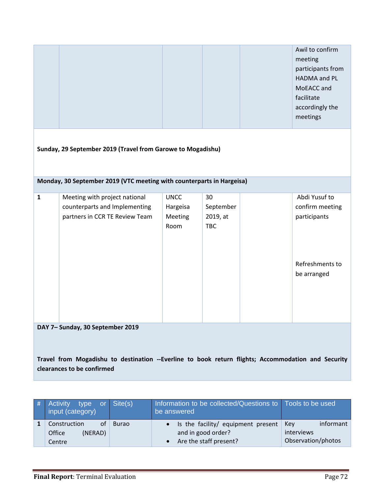|                                                                                                                                                                     |                                                                       |                 |                        |  | Awil to confirm<br>meeting<br>participants from<br>HADMA and PL<br>MoEACC and<br>facilitate<br>accordingly the<br>meetings |
|---------------------------------------------------------------------------------------------------------------------------------------------------------------------|-----------------------------------------------------------------------|-----------------|------------------------|--|----------------------------------------------------------------------------------------------------------------------------|
|                                                                                                                                                                     | Sunday, 29 September 2019 (Travel from Garowe to Mogadishu)           |                 |                        |  |                                                                                                                            |
|                                                                                                                                                                     | Monday, 30 September 2019 (VTC meeting with counterparts in Hargeisa) |                 |                        |  |                                                                                                                            |
| $\mathbf{1}$                                                                                                                                                        | Meeting with project national                                         | <b>UNCC</b>     | 30                     |  | Abdi Yusuf to                                                                                                              |
|                                                                                                                                                                     | counterparts and Implementing                                         | Hargeisa        | September              |  | confirm meeting                                                                                                            |
|                                                                                                                                                                     | partners in CCR TE Review Team                                        | Meeting<br>Room | 2019, at<br><b>TBC</b> |  | participants                                                                                                               |
|                                                                                                                                                                     |                                                                       |                 |                        |  | Refreshments to<br>be arranged                                                                                             |
|                                                                                                                                                                     |                                                                       |                 |                        |  |                                                                                                                            |
| DAY 7-Sunday, 30 September 2019<br>Travel from Mogadishu to destination --Everline to book return flights; Accommodation and Security<br>clearances to be confirmed |                                                                       |                 |                        |  |                                                                                                                            |

| l#' | type or Site(s)<br><b>Activity</b><br>input (category) |              | Information to be collected/Questions to Tools to be used<br>be answered             |                                                      |
|-----|--------------------------------------------------------|--------------|--------------------------------------------------------------------------------------|------------------------------------------------------|
|     | Construction<br>of<br>(NERAD)<br>Office<br>Centre      | <b>Burao</b> | • Is the facility/ equipment present<br>and in good order?<br>Are the staff present? | informant<br>Kev<br>interviews<br>Observation/photos |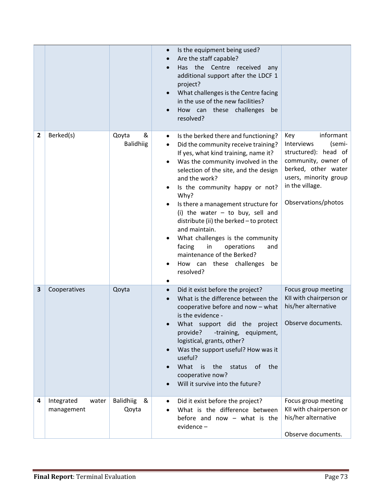|   |                                   |                                | Is the equipment being used?<br>$\bullet$<br>Are the staff capable?<br>Has the Centre<br>received<br>any<br>additional support after the LDCF 1<br>project?<br>What challenges is the Centre facing<br>in the use of the new facilities?<br>How can these challenges<br>be<br>resolved?                                                                                                                                                                                                                                                                                                            |                                                                                                                                                                                   |
|---|-----------------------------------|--------------------------------|----------------------------------------------------------------------------------------------------------------------------------------------------------------------------------------------------------------------------------------------------------------------------------------------------------------------------------------------------------------------------------------------------------------------------------------------------------------------------------------------------------------------------------------------------------------------------------------------------|-----------------------------------------------------------------------------------------------------------------------------------------------------------------------------------|
| 2 | Berked(s)                         | Qoyta<br>&<br><b>Balidhiig</b> | Is the berked there and functioning?<br>$\bullet$<br>Did the community receive training?<br>$\bullet$<br>If yes, what kind training, name it?<br>Was the community involved in the<br>$\bullet$<br>selection of the site, and the design<br>and the work?<br>Is the community happy or not?<br>Why?<br>Is there a management structure for<br>(i) the water $-$ to buy, sell and<br>distribute (ii) the berked - to protect<br>and maintain.<br>What challenges is the community<br>facing<br>in<br>operations<br>and<br>maintenance of the Berked?<br>How can these challenges<br>be<br>resolved? | informant<br>Key<br>Interviews<br>(semi-<br>structured): head of<br>community, owner of<br>berked, other water<br>users, minority group<br>in the village.<br>Observations/photos |
| 3 | Cooperatives                      | Qoyta                          | Did it exist before the project?<br>$\bullet$<br>What is the difference between the<br>cooperative before and now - what<br>is the evidence -<br>What support did the project Observe documents.<br>provide?<br>-training, equipment,<br>logistical, grants, other?<br>Was the support useful? How was it<br>$\bullet$<br>useful?<br>What<br>the<br>is<br>of the<br>status<br>cooperative now?<br>Will it survive into the future?                                                                                                                                                                 | Focus group meeting<br>KII with chairperson or<br>his/her alternative                                                                                                             |
| 4 | Integrated<br>water<br>management | <b>Balidhiig</b><br>&<br>Qoyta | Did it exist before the project?<br>$\bullet$<br>What is the difference between<br>before and now $-$ what is the<br>evidence-                                                                                                                                                                                                                                                                                                                                                                                                                                                                     | Focus group meeting<br>KII with chairperson or<br>his/her alternative<br>Observe documents.                                                                                       |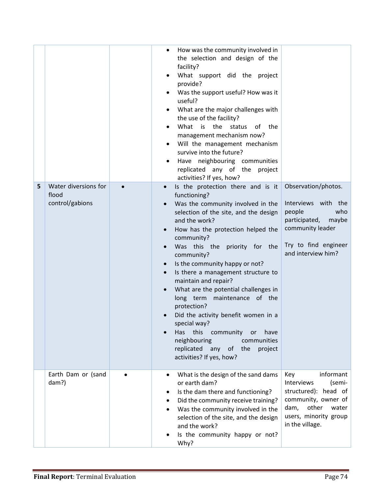| 5 | Water diversions for<br>flood<br>control/gabions | How was the community involved in<br>the selection and design of the<br>facility?<br>What support did the project<br>provide?<br>Was the support useful? How was it<br>useful?<br>What are the major challenges with<br>the use of the facility?<br>What is<br>the<br>status<br>of<br>the<br>management mechanism now?<br>Will the management mechanism<br>survive into the future?<br>Have neighbouring communities<br>replicated any of the project<br>activities? If yes, how?<br>Is the protection there and is it<br>$\bullet$<br>functioning?<br>Was the community involved in the<br>selection of the site, and the design<br>and the work?<br>How has the protection helped the<br>community?<br>Was this the<br>priority for the<br>community?<br>Is the community happy or not?<br>Is there a management structure to<br>maintain and repair?<br>What are the potential challenges in<br>long term maintenance of the<br>protection?<br>Did the activity benefit women in a<br>special way?<br>this<br>community<br>Has<br>have<br>or<br>neighbouring<br>communities<br>replicated<br>any<br>of the<br>project<br>activities? If yes, how? | Observation/photos.<br>Interviews with the<br>people<br>who<br>participated,<br>maybe<br>community leader<br>Try to find engineer<br>and interview him?       |
|---|--------------------------------------------------|------------------------------------------------------------------------------------------------------------------------------------------------------------------------------------------------------------------------------------------------------------------------------------------------------------------------------------------------------------------------------------------------------------------------------------------------------------------------------------------------------------------------------------------------------------------------------------------------------------------------------------------------------------------------------------------------------------------------------------------------------------------------------------------------------------------------------------------------------------------------------------------------------------------------------------------------------------------------------------------------------------------------------------------------------------------------------------------------------------------------------------------------------|---------------------------------------------------------------------------------------------------------------------------------------------------------------|
|   | Earth Dam or (sand<br>dam?)                      | What is the design of the sand dams<br>or earth dam?<br>Is the dam there and functioning?<br>٠<br>Did the community receive training?<br>Was the community involved in the<br>selection of the site, and the design<br>and the work?<br>Is the community happy or not?<br>Why?                                                                                                                                                                                                                                                                                                                                                                                                                                                                                                                                                                                                                                                                                                                                                                                                                                                                       | informant<br>Key<br>Interviews<br>(semi-<br>structured): head of<br>community, owner of<br>other<br>dam,<br>water<br>users, minority group<br>in the village. |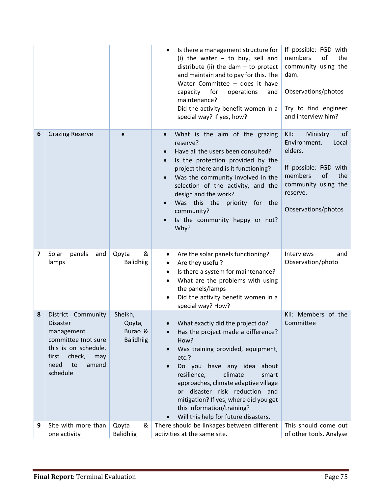|                         |                                                                                                                                                                 |                                                  | Is there a management structure for<br>$\bullet$<br>(i) the water $-$ to buy, sell and<br>distribute (ii) the dam $-$ to protect<br>and maintain and to pay for this. The<br>Water Committee - does it have<br>for<br>capacity<br>operations<br>and<br>maintenance?<br>Did the activity benefit women in a<br>special way? If yes, how?                                                | If possible: FGD with<br>members<br>of<br>the<br>community using the<br>dam.<br>Observations/photos<br>Try to find engineer<br>and interview him?                     |
|-------------------------|-----------------------------------------------------------------------------------------------------------------------------------------------------------------|--------------------------------------------------|----------------------------------------------------------------------------------------------------------------------------------------------------------------------------------------------------------------------------------------------------------------------------------------------------------------------------------------------------------------------------------------|-----------------------------------------------------------------------------------------------------------------------------------------------------------------------|
| 6                       | <b>Grazing Reserve</b>                                                                                                                                          |                                                  | What is the aim of the grazing<br>reserve?<br>Have all the users been consulted?<br>Is the protection provided by the<br>project there and is it functioning?<br>Was the community involved in the<br>selection of the activity, and the<br>design and the work?<br>Was this the<br>priority for the<br>community?<br>Is the community happy or not?<br>Why?                           | of<br>KII:<br>Ministry<br>Environment.<br>Local<br>elders.<br>If possible: FGD with<br>members<br>of<br>the<br>community using the<br>reserve.<br>Observations/photos |
| $\overline{\mathbf{z}}$ | Solar<br>panels<br>and<br>lamps                                                                                                                                 | &<br>Qoyta<br><b>Balidhiig</b>                   | Are the solar panels functioning?<br>٠<br>Are they useful?<br>٠<br>Is there a system for maintenance?<br>$\bullet$<br>What are the problems with using<br>the panels/lamps<br>Did the activity benefit women in a<br>special way? How?                                                                                                                                                 | Interviews<br>and<br>Observation/photo                                                                                                                                |
| 8                       | District Community<br><b>Disaster</b><br>management<br>committee (not sure<br>this is on schedule,<br>first<br>check,<br>may<br>need<br>amend<br>to<br>schedule | Sheikh,<br>Qoyta,<br>Burao &<br><b>Balidhiig</b> | What exactly did the project do?<br>Has the project made a difference?<br>How?<br>Was training provided, equipment,<br>etc.?<br>Do you have any idea about<br>resilience,<br>climate<br>smart<br>approaches, climate adaptive village<br>or disaster risk reduction and<br>mitigation? If yes, where did you get<br>this information/training?<br>Will this help for future disasters. | KII: Members of the<br>Committee                                                                                                                                      |
| 9                       | Site with more than<br>one activity                                                                                                                             | &<br>Qoyta<br><b>Balidhiig</b>                   | There should be linkages between different<br>activities at the same site.                                                                                                                                                                                                                                                                                                             | This should come out<br>of other tools. Analyse                                                                                                                       |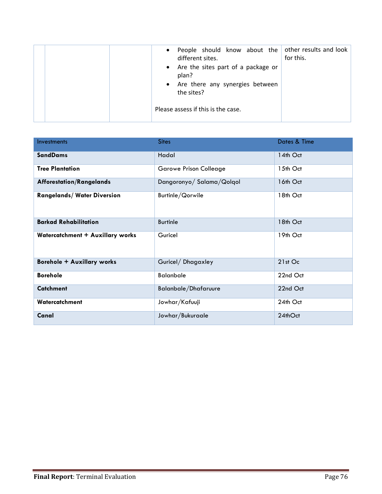|  | People should know about the $\vert$ other results and look $\vert$<br>$\bullet$<br>different sites.<br>• Are the sites part of a package or<br>plan?<br>• Are there any synergies between<br>the sites? | for this. |
|--|----------------------------------------------------------------------------------------------------------------------------------------------------------------------------------------------------------|-----------|
|  | Please assess if this is the case.                                                                                                                                                                       |           |

| <b>Investments</b>                 | <b>Sites</b>                  | Dates & Time |  |
|------------------------------------|-------------------------------|--------------|--|
| <b>SandDams</b>                    | Hadal                         | 14th Oct     |  |
| <b>Tree Plantation</b>             | <b>Garowe Prison Colleage</b> | 15th Oct     |  |
| <b>Afforestation/Rangelands</b>    | Dangoronyo/Salama/Qolqol      | 16th Oct     |  |
| <b>Rangelands/ Water Diversion</b> | Burtinle/Qorwile              | 18th Oct     |  |
| <b>Barkad Rehabilitation</b>       | <b>Burtinle</b>               | 18th Oct     |  |
| Watercatchment + Auxillary works   | Guricel                       | 19th Oct     |  |
| <b>Borehole + Auxillary works</b>  | Guricel/Dhagaxley             | 21st Oc      |  |
| <b>Borehole</b>                    | <b>Balanbale</b>              | 22nd Oct     |  |
| <b>Catchment</b>                   | <b>Balanbale/Dhafaruure</b>   | 22nd Oct     |  |
| Watercatchment                     | Jowhar/Kafuuji                | 24th Oct     |  |
| Canal                              | Jowhar/Bukuraale              | 24thOct      |  |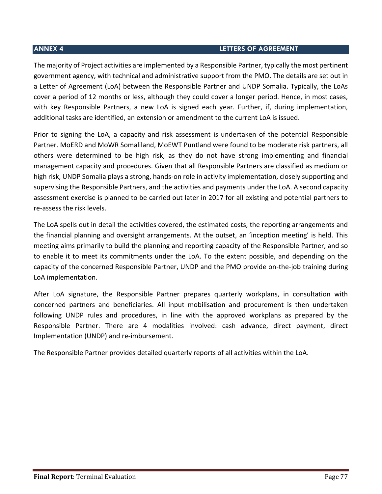## **ANNEX 4 LETTERS OF AGREEMENT**

The majority of Project activities are implemented by a Responsible Partner, typically the most pertinent government agency, with technical and administrative support from the PMO. The details are set out in a Letter of Agreement (LoA) between the Responsible Partner and UNDP Somalia. Typically, the LoAs cover a period of 12 months or less, although they could cover a longer period. Hence, in most cases, with key Responsible Partners, a new LoA is signed each year. Further, if, during implementation, additional tasks are identified, an extension or amendment to the current LoA is issued.

Prior to signing the LoA, a capacity and risk assessment is undertaken of the potential Responsible Partner. MoERD and MoWR Somaliland, MoEWT Puntland were found to be moderate risk partners, all others were determined to be high risk, as they do not have strong implementing and financial management capacity and procedures. Given that all Responsible Partners are classified as medium or high risk, UNDP Somalia plays a strong, hands-on role in activity implementation, closely supporting and supervising the Responsible Partners, and the activities and payments under the LoA. A second capacity assessment exercise is planned to be carried out later in 2017 for all existing and potential partners to re-assess the risk levels.

The LoA spells out in detail the activities covered, the estimated costs, the reporting arrangements and the financial planning and oversight arrangements. At the outset, an 'inception meeting' is held. This meeting aims primarily to build the planning and reporting capacity of the Responsible Partner, and so to enable it to meet its commitments under the LoA. To the extent possible, and depending on the capacity of the concerned Responsible Partner, UNDP and the PMO provide on-the-job training during LoA implementation.

After LoA signature, the Responsible Partner prepares quarterly workplans, in consultation with concerned partners and beneficiaries. All input mobilisation and procurement is then undertaken following UNDP rules and procedures, in line with the approved workplans as prepared by the Responsible Partner. There are 4 modalities involved: cash advance, direct payment, direct Implementation (UNDP) and re-imbursement.

The Responsible Partner provides detailed quarterly reports of all activities within the LoA.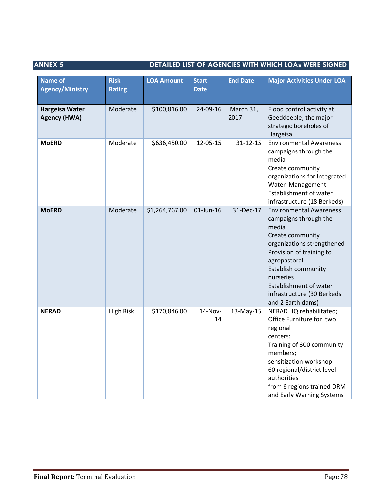## **ANNEX 5** DETAILED LIST OF AGENCIES WITH WHICH LOAs WERE SIGNED

| <b>Name of</b><br><b>Agency/Ministry</b>     | <b>Risk</b><br><b>Rating</b> | <b>LOA Amount</b> | <b>Start</b><br><b>Date</b> | <b>End Date</b>   | <b>Major Activities Under LOA</b>                                                                                                                                                                                                                                               |
|----------------------------------------------|------------------------------|-------------------|-----------------------------|-------------------|---------------------------------------------------------------------------------------------------------------------------------------------------------------------------------------------------------------------------------------------------------------------------------|
| <b>Hargeisa Water</b><br><b>Agency (HWA)</b> | Moderate                     | \$100,816.00      | 24-09-16                    | March 31,<br>2017 | Flood control activity at<br>Geeddeeble; the major<br>strategic boreholes of<br>Hargeisa                                                                                                                                                                                        |
| <b>MoERD</b>                                 | Moderate                     | \$636,450.00      | 12-05-15                    | $31 - 12 - 15$    | <b>Environmental Awareness</b><br>campaigns through the<br>media<br>Create community<br>organizations for Integrated<br>Water Management<br>Establishment of water<br>infrastructure (18 Berkeds)                                                                               |
| <b>MoERD</b>                                 | Moderate                     | \$1,264,767.00    | 01-Jun-16                   | 31-Dec-17         | <b>Environmental Awareness</b><br>campaigns through the<br>media<br>Create community<br>organizations strengthened<br>Provision of training to<br>agropastoral<br>Establish community<br>nurseries<br>Establishment of water<br>infrastructure (30 Berkeds<br>and 2 Earth dams) |
| <b>NERAD</b>                                 | <b>High Risk</b>             | \$170,846.00      | 14-Nov-<br>14               | 13-May-15         | NERAD HQ rehabilitated;<br>Office Furniture for two<br>regional<br>centers:<br>Training of 300 community<br>members;<br>sensitization workshop<br>60 regional/district level<br>authorities<br>from 6 regions trained DRM<br>and Early Warning Systems                          |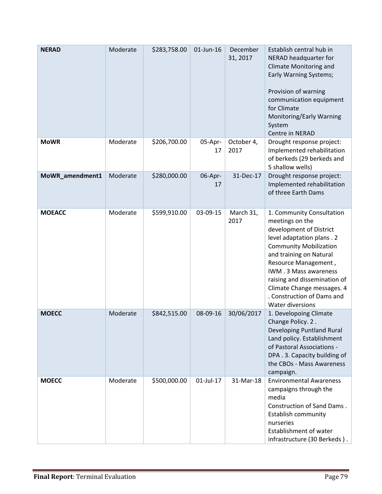| <b>NERAD</b>    | Moderate | \$283,758.00 | 01-Jun-16     | December<br>31, 2017 | Establish central hub in<br>NERAD headquarter for<br>Climate Monitoring and<br><b>Early Warning Systems;</b><br>Provision of warning<br>communication equipment<br>for Climate<br>Monitoring/Early Warning<br>System<br>Centre in NERAD                                                                                           |
|-----------------|----------|--------------|---------------|----------------------|-----------------------------------------------------------------------------------------------------------------------------------------------------------------------------------------------------------------------------------------------------------------------------------------------------------------------------------|
| <b>MoWR</b>     | Moderate | \$206,700.00 | 05-Apr-<br>17 | October 4,<br>2017   | Drought response project:<br>Implemented rehabilitation<br>of berkeds (29 berkeds and<br>5 shallow wells)                                                                                                                                                                                                                         |
| MoWR_amendment1 | Moderate | \$280,000.00 | 06-Apr-<br>17 | 31-Dec-17            | Drought response project:<br>Implemented rehabilitation<br>of three Earth Dams                                                                                                                                                                                                                                                    |
| <b>MOEACC</b>   | Moderate | \$599,910.00 | 03-09-15      | March 31,<br>2017    | 1. Community Consultation<br>meetings on the<br>development of District<br>level adaptation plans . 2<br><b>Community Mobilization</b><br>and training on Natural<br>Resource Management,<br>IWM.3 Mass awareness<br>raising and dissemination of<br>Climate Change messages. 4<br>. Construction of Dams and<br>Water diversions |
| <b>MOECC</b>    | Moderate | \$842,515.00 | 08-09-16      | 30/06/2017           | 1. Developoing Climate<br>Change Policy. 2.<br>Developing Puntland Rural<br>Land policy. Establishment<br>of Pastoral Associations -<br>DPA . 3. Capacity building of<br>the CBOs - Mass Awareness<br>campaign.                                                                                                                   |
| <b>MOECC</b>    | Moderate | \$500,000.00 | 01-Jul-17     | 31-Mar-18            | <b>Environmental Awareness</b><br>campaigns through the<br>media<br><b>Construction of Sand Dams.</b><br>Establish community<br>nurseries<br>Establishment of water<br>infrastructure (30 Berkeds).                                                                                                                               |